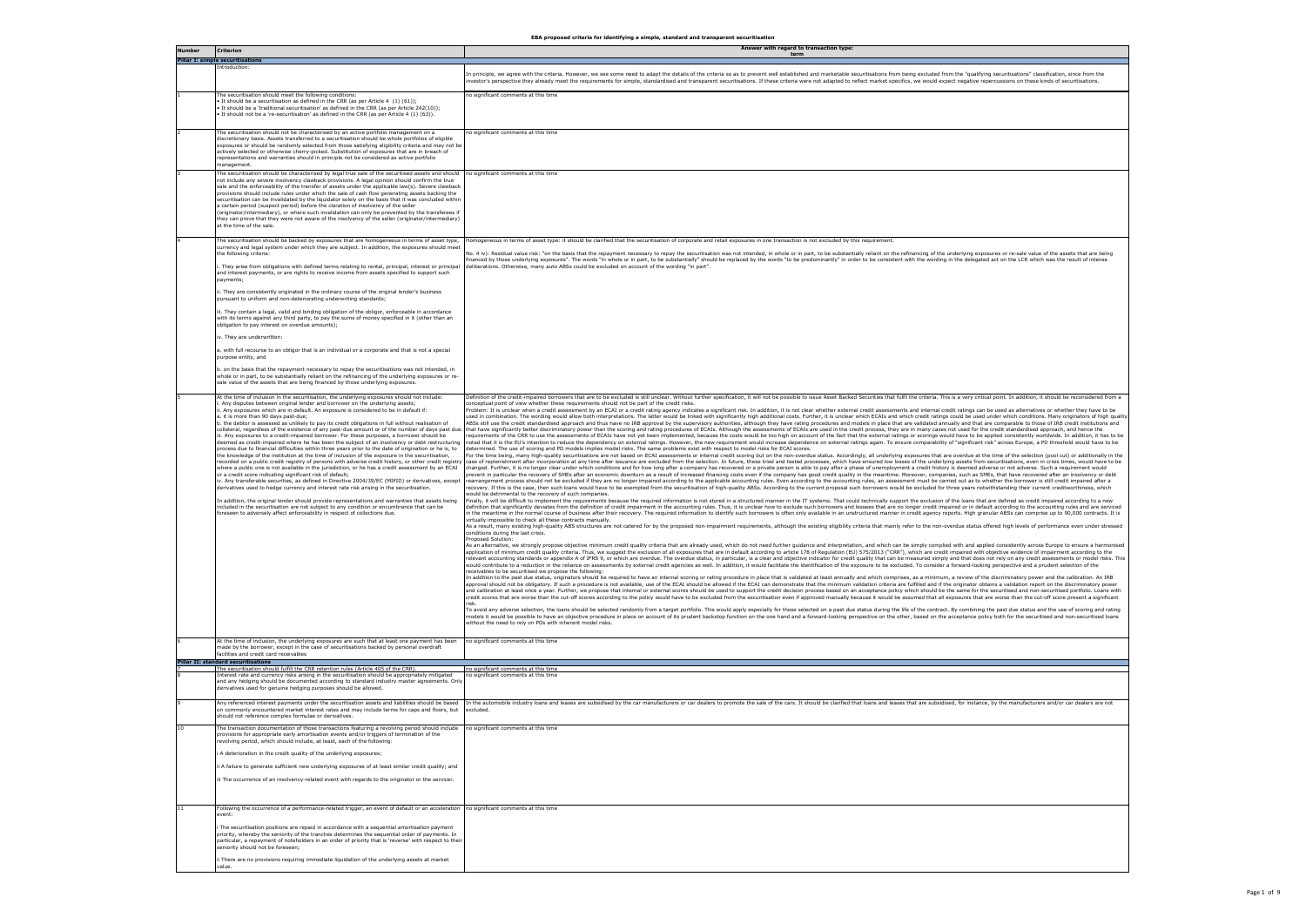| Number | <b>Criterion</b>                                                                                                                                                                                                                                                                                                                                                                                                                                                                                                                                                                                                                                                                                                                                                                                                                                                                                                                                                                                                                                                                                                                                                                                                                                                                                                                                                                      | Answer with regard to transaction type:<br>term                                                                                                                                                                                                                                                                                                                                                                                                                                                                                                                                                                                                                                                                                                                                                                                                                                                                                                                                                                                                                                                                                                                                                                                                                                                                                                                                                                                                                                                                                                                                                                                                                                                                                                                                                                                                                                                                                                                                                                                                                                                                                                                                                                                                                                                                                                                                                                                                                                                                                                                                                                                                                                                                                                                                                                                                                                                                                                                                                                                                                                                                                                                                                                                                                                                                                                                                                                                                                                                                                                                                                                                                                                                                                                                                                                                                                                                                                                                                                                                                                                                                                                                                                                                                                                                                                                                                                                          |
|--------|---------------------------------------------------------------------------------------------------------------------------------------------------------------------------------------------------------------------------------------------------------------------------------------------------------------------------------------------------------------------------------------------------------------------------------------------------------------------------------------------------------------------------------------------------------------------------------------------------------------------------------------------------------------------------------------------------------------------------------------------------------------------------------------------------------------------------------------------------------------------------------------------------------------------------------------------------------------------------------------------------------------------------------------------------------------------------------------------------------------------------------------------------------------------------------------------------------------------------------------------------------------------------------------------------------------------------------------------------------------------------------------|--------------------------------------------------------------------------------------------------------------------------------------------------------------------------------------------------------------------------------------------------------------------------------------------------------------------------------------------------------------------------------------------------------------------------------------------------------------------------------------------------------------------------------------------------------------------------------------------------------------------------------------------------------------------------------------------------------------------------------------------------------------------------------------------------------------------------------------------------------------------------------------------------------------------------------------------------------------------------------------------------------------------------------------------------------------------------------------------------------------------------------------------------------------------------------------------------------------------------------------------------------------------------------------------------------------------------------------------------------------------------------------------------------------------------------------------------------------------------------------------------------------------------------------------------------------------------------------------------------------------------------------------------------------------------------------------------------------------------------------------------------------------------------------------------------------------------------------------------------------------------------------------------------------------------------------------------------------------------------------------------------------------------------------------------------------------------------------------------------------------------------------------------------------------------------------------------------------------------------------------------------------------------------------------------------------------------------------------------------------------------------------------------------------------------------------------------------------------------------------------------------------------------------------------------------------------------------------------------------------------------------------------------------------------------------------------------------------------------------------------------------------------------------------------------------------------------------------------------------------------------------------------------------------------------------------------------------------------------------------------------------------------------------------------------------------------------------------------------------------------------------------------------------------------------------------------------------------------------------------------------------------------------------------------------------------------------------------------------------------------------------------------------------------------------------------------------------------------------------------------------------------------------------------------------------------------------------------------------------------------------------------------------------------------------------------------------------------------------------------------------------------------------------------------------------------------------------------------------------------------------------------------------------------------------------------------------------------------------------------------------------------------------------------------------------------------------------------------------------------------------------------------------------------------------------------------------------------------------------------------------------------------------------------------------------------------------------------------------------------------------------------------------------------------------|
|        | <b>Pillar I: simple securitisations</b>                                                                                                                                                                                                                                                                                                                                                                                                                                                                                                                                                                                                                                                                                                                                                                                                                                                                                                                                                                                                                                                                                                                                                                                                                                                                                                                                               |                                                                                                                                                                                                                                                                                                                                                                                                                                                                                                                                                                                                                                                                                                                                                                                                                                                                                                                                                                                                                                                                                                                                                                                                                                                                                                                                                                                                                                                                                                                                                                                                                                                                                                                                                                                                                                                                                                                                                                                                                                                                                                                                                                                                                                                                                                                                                                                                                                                                                                                                                                                                                                                                                                                                                                                                                                                                                                                                                                                                                                                                                                                                                                                                                                                                                                                                                                                                                                                                                                                                                                                                                                                                                                                                                                                                                                                                                                                                                                                                                                                                                                                                                                                                                                                                                                                                                                                                                          |
|        | Introduction:                                                                                                                                                                                                                                                                                                                                                                                                                                                                                                                                                                                                                                                                                                                                                                                                                                                                                                                                                                                                                                                                                                                                                                                                                                                                                                                                                                         | In principle, we agree with the criteria. However, we see some need to adapt the details of the criteria so as to prevent well established and marketable securitisations from being excluded from the "qualifying securitisat<br>investor's perspective they already meet the requirements for simple, standardised and transparent securitisations. If these criteria were not adapted to reflect market specifics, we would expect negative repercussions on                                                                                                                                                                                                                                                                                                                                                                                                                                                                                                                                                                                                                                                                                                                                                                                                                                                                                                                                                                                                                                                                                                                                                                                                                                                                                                                                                                                                                                                                                                                                                                                                                                                                                                                                                                                                                                                                                                                                                                                                                                                                                                                                                                                                                                                                                                                                                                                                                                                                                                                                                                                                                                                                                                                                                                                                                                                                                                                                                                                                                                                                                                                                                                                                                                                                                                                                                                                                                                                                                                                                                                                                                                                                                                                                                                                                                                                                                                                                                          |
|        | The securitisation should meet the following conditions:<br>. It should be a securitisation as defined in the CRR (as per Article 4 (1) (61));<br>. It should be a 'traditional securitisation' as defined in the CRR (as per Article 242(10));<br>. It should not be a 're-securitisation' as defined in the CRR (as per Article 4 (1) (63)).                                                                                                                                                                                                                                                                                                                                                                                                                                                                                                                                                                                                                                                                                                                                                                                                                                                                                                                                                                                                                                        | no significant comments at this time                                                                                                                                                                                                                                                                                                                                                                                                                                                                                                                                                                                                                                                                                                                                                                                                                                                                                                                                                                                                                                                                                                                                                                                                                                                                                                                                                                                                                                                                                                                                                                                                                                                                                                                                                                                                                                                                                                                                                                                                                                                                                                                                                                                                                                                                                                                                                                                                                                                                                                                                                                                                                                                                                                                                                                                                                                                                                                                                                                                                                                                                                                                                                                                                                                                                                                                                                                                                                                                                                                                                                                                                                                                                                                                                                                                                                                                                                                                                                                                                                                                                                                                                                                                                                                                                                                                                                                                     |
|        | The securitisation should not be characterised by an active portfolio management on a<br>discretionary basis. Assets transferred to a securitisation should be whole portfolios of eligible<br>exposures or should be randomly selected from those satisfying eligibility criteria and may not be<br>actively selected or otherwise cherry-picked. Substitution of exposures that are in breach of<br>representations and warranties should in principle not be considered as active portfolio<br>management.                                                                                                                                                                                                                                                                                                                                                                                                                                                                                                                                                                                                                                                                                                                                                                                                                                                                         | no significant comments at this time                                                                                                                                                                                                                                                                                                                                                                                                                                                                                                                                                                                                                                                                                                                                                                                                                                                                                                                                                                                                                                                                                                                                                                                                                                                                                                                                                                                                                                                                                                                                                                                                                                                                                                                                                                                                                                                                                                                                                                                                                                                                                                                                                                                                                                                                                                                                                                                                                                                                                                                                                                                                                                                                                                                                                                                                                                                                                                                                                                                                                                                                                                                                                                                                                                                                                                                                                                                                                                                                                                                                                                                                                                                                                                                                                                                                                                                                                                                                                                                                                                                                                                                                                                                                                                                                                                                                                                                     |
|        | The securitisation should be characterised by legal true sale of the securitised assets and should<br>not include any severe insolvency clawback provisions. A legal opinion should confirm the true<br>sale and the enforceability of the transfer of assets under the applicable law(s). Severe clawback<br>provisions should include rules under which the sale of cash flow generating assets backing the<br>securitisation can be invalidated by the liquidator solely on the basis that it was concluded within<br>a certain period (suspect period) before the claration of insolvency of the seller<br>(originator/intermediary), or where such invalidation can only be prevented by the transferees if<br>they can prove that they were not aware of the insolvency of the seller (originator/intermediary)<br>at the time of the sale.                                                                                                                                                                                                                                                                                                                                                                                                                                                                                                                                     | no significant comments at this time                                                                                                                                                                                                                                                                                                                                                                                                                                                                                                                                                                                                                                                                                                                                                                                                                                                                                                                                                                                                                                                                                                                                                                                                                                                                                                                                                                                                                                                                                                                                                                                                                                                                                                                                                                                                                                                                                                                                                                                                                                                                                                                                                                                                                                                                                                                                                                                                                                                                                                                                                                                                                                                                                                                                                                                                                                                                                                                                                                                                                                                                                                                                                                                                                                                                                                                                                                                                                                                                                                                                                                                                                                                                                                                                                                                                                                                                                                                                                                                                                                                                                                                                                                                                                                                                                                                                                                                     |
|        | The securitisation should be backed by exposures that are homogeneous in terms of asset type,<br>currency and legal system under which they are subject. In addition, the exposures should meet<br>the following criteria:<br>They arise from obligations with defined terms relating to rental, principal, interest or principal<br>and interest payments, or are rights to receive income from assets specified to support such                                                                                                                                                                                                                                                                                                                                                                                                                                                                                                                                                                                                                                                                                                                                                                                                                                                                                                                                                     | lomogeneous in terms of asset type: it should be clarified that the securitisation of corporate and retail exposures in one transaction is not excluded by this requirement.<br>No. 4 iv): Residual value risk: "on the basis that the repayment necessary to repay the securitisation was not intended, in whole or in part, to be substantially reliant on the refinancing of the underlying exposures or re<br>financed by those underlying exposures". The words "in whole or in part, to be substantially" should be replaced by the words "to be predominantly" in order to be consistent with the wording in the delegated act on the LCR<br>deliberations. Otherwise, many auto ABSs could be excluded on account of the wording "in part".                                                                                                                                                                                                                                                                                                                                                                                                                                                                                                                                                                                                                                                                                                                                                                                                                                                                                                                                                                                                                                                                                                                                                                                                                                                                                                                                                                                                                                                                                                                                                                                                                                                                                                                                                                                                                                                                                                                                                                                                                                                                                                                                                                                                                                                                                                                                                                                                                                                                                                                                                                                                                                                                                                                                                                                                                                                                                                                                                                                                                                                                                                                                                                                                                                                                                                                                                                                                                                                                                                                                                                                                                                                                      |
|        | payments;<br>ii. They are consistently originated in the ordinary course of the original lender's business<br>pursuant to uniform and non-deteriorating underwriting standards;<br>iii. They contain a legal, valid and binding obligation of the obligor, enforceable in accordance                                                                                                                                                                                                                                                                                                                                                                                                                                                                                                                                                                                                                                                                                                                                                                                                                                                                                                                                                                                                                                                                                                  |                                                                                                                                                                                                                                                                                                                                                                                                                                                                                                                                                                                                                                                                                                                                                                                                                                                                                                                                                                                                                                                                                                                                                                                                                                                                                                                                                                                                                                                                                                                                                                                                                                                                                                                                                                                                                                                                                                                                                                                                                                                                                                                                                                                                                                                                                                                                                                                                                                                                                                                                                                                                                                                                                                                                                                                                                                                                                                                                                                                                                                                                                                                                                                                                                                                                                                                                                                                                                                                                                                                                                                                                                                                                                                                                                                                                                                                                                                                                                                                                                                                                                                                                                                                                                                                                                                                                                                                                                          |
|        | with its terms against any third party, to pay the sums of money specified in it (other than an<br>obligation to pay interest on overdue amounts):<br>v. They are underwritten:                                                                                                                                                                                                                                                                                                                                                                                                                                                                                                                                                                                                                                                                                                                                                                                                                                                                                                                                                                                                                                                                                                                                                                                                       |                                                                                                                                                                                                                                                                                                                                                                                                                                                                                                                                                                                                                                                                                                                                                                                                                                                                                                                                                                                                                                                                                                                                                                                                                                                                                                                                                                                                                                                                                                                                                                                                                                                                                                                                                                                                                                                                                                                                                                                                                                                                                                                                                                                                                                                                                                                                                                                                                                                                                                                                                                                                                                                                                                                                                                                                                                                                                                                                                                                                                                                                                                                                                                                                                                                                                                                                                                                                                                                                                                                                                                                                                                                                                                                                                                                                                                                                                                                                                                                                                                                                                                                                                                                                                                                                                                                                                                                                                          |
|        | a. with full recourse to an obligor that is an individual or a corporate and that is not a special<br>purpose entity, and<br>b. on the basis that the repayment necessary to repay the securitisations was not intended, in                                                                                                                                                                                                                                                                                                                                                                                                                                                                                                                                                                                                                                                                                                                                                                                                                                                                                                                                                                                                                                                                                                                                                           |                                                                                                                                                                                                                                                                                                                                                                                                                                                                                                                                                                                                                                                                                                                                                                                                                                                                                                                                                                                                                                                                                                                                                                                                                                                                                                                                                                                                                                                                                                                                                                                                                                                                                                                                                                                                                                                                                                                                                                                                                                                                                                                                                                                                                                                                                                                                                                                                                                                                                                                                                                                                                                                                                                                                                                                                                                                                                                                                                                                                                                                                                                                                                                                                                                                                                                                                                                                                                                                                                                                                                                                                                                                                                                                                                                                                                                                                                                                                                                                                                                                                                                                                                                                                                                                                                                                                                                                                                          |
|        | whole or in part, to be substantially reliant on the refinancing of the underlying exposures or re-<br>sale value of the assets that are being financed by those underlying exposures.<br>At the time of inclusion in the securitisation, the underlying exposures should not include:                                                                                                                                                                                                                                                                                                                                                                                                                                                                                                                                                                                                                                                                                                                                                                                                                                                                                                                                                                                                                                                                                                | Definition of the credit-impaired borrowers that are to be excluded is still unclear. Without further specification, it will not be possible to issue Asset Backed Securities that fulfil the criteria. This is a very critica                                                                                                                                                                                                                                                                                                                                                                                                                                                                                                                                                                                                                                                                                                                                                                                                                                                                                                                                                                                                                                                                                                                                                                                                                                                                                                                                                                                                                                                                                                                                                                                                                                                                                                                                                                                                                                                                                                                                                                                                                                                                                                                                                                                                                                                                                                                                                                                                                                                                                                                                                                                                                                                                                                                                                                                                                                                                                                                                                                                                                                                                                                                                                                                                                                                                                                                                                                                                                                                                                                                                                                                                                                                                                                                                                                                                                                                                                                                                                                                                                                                                                                                                                                                           |
|        | Any disputes between original lender and borrower on the underlying assets;<br>ii. Any exposures which are in default. An exposure is considered to be in default if:<br>a. it is more than 90 days past-due;<br>b. the debtor is assessed as unlikely to pay its credit obligations in full without realisation of<br>iii. Any exposures to a credit-impaired borrower. For these purposes, a borrower should be<br>deemed as credit-impaired where he has been the subject of an insolvency or debt restructuring<br>process due to financial difficulties within three years prior to the date of origination or he is, to<br>the knowledge of the institution at the time of inclusion of the exposure in the securitisation,<br>where a public one is not available in the jurisdiction, or he has a credit assessment by an ECAI<br>or a credit score indicating significant risk of default;<br>iv. Any transferable securities, as defined in Directive 2004/39/EC (MIFID) or derivatives, except<br>derivatives used to hedge currency and interest rate risk arising in the securitisation.<br>In addition, the original lender should provide representations and warranties that assets being<br>included in the securitisation are not subject to any condition or encumbrance that can be<br>foreseen to adversely affect enforceability in respect of collections due. | conceptual point of view whether these requirements should not be part of the credit risks.<br>Problem: It is unclear when a credit assessment by an ECAI or a credit rating agency indicates a significant risk. In addition, it is not clear whether external credit assessments and internal credit ratings can be used as<br>used in combination. The wording would allow both interpretations. The latter would be linked with significantly high additional costs. Further, it is unclear which ECAIs and which credit ratings could be used under which<br>ABSs still use the credit standardised approach and thus have no IRB approval by the supervisory authorities, although they have rating procedures and models in place that are validated annually and that are comparable to<br>collateral, regardless of the existence of any past-due amount or of the number of days past due. [that have significantly better discriminatory power than the scoring and rating procedures of ECAIs. Although the assessmen<br>requirements of the CRR to use the assessments of ECAIs have not yet been implemented, because the costs would be too high on account of the fact that the external ratings or scorings would have to be applied consistently<br>noted that it is the EU's intention to reduce the dependency on external ratings. However, the new requirement would increase dependence on external ratings again. To ensure comparability of "significant risk" across Europ<br>determined. The use of scoring and PD models implies model risks. The same problems exist with respect to model risks for ECAI scores.<br>For the time being, many high-quality securitisations are not based on ECAI assessments or internal credit scoring but on the non-overdue status. Accordingly, all underlying exposures that are overdue at the time of the se<br>recorded on a public credit registry of persons with adverse credit history, or other credit registry coster credit registry case of replenishment after incorporation at any time after issuance are excluded from the select<br>changed. Further, it is no longer clear under which conditions and for how long after a company has recovered or a private person is able to pay after a phase of unemployment a credit history is deemed adverse or not adver<br>prevent in particular the recovery of SMEs after an economic downturn as a result of increased financing costs even if the company has qood credit quality in the meantime. Moreover, companies, such as SMEs, that have recov<br>rearrangement process should not be excluded if they are no longer impaired according to the applicable accounting rules. Even according to the accounting rules, an assessment must be carried out as to whether the borrower<br>recovery. If this is the case, then such loans would have to be exempted from the securitisation of high-quality ABSs. According to the current proposal such borrowers would be excluded for three years notwithstanding thei<br>would be detrimental to the recovery of such companies.<br>Finally, it will be difficult to implement the requirements because the required information is not stored in a structured manner in the IT systems. That could technically support the exclusion of the loans that are define<br>definition that significantly deviates from the definition of credit impairment in the accounting rules. Thus, it is unclear how to exclude such borrowers and lessees that are no longer credit impaired or in default accord<br>in the meantime in the normal course of business after their recovery. The required information to identify such borrowers is often only available in an unstructured manner in credit agency reports. High granular ABSs can<br>virtually impossible to check all these contracts manually.<br>As a result, many existing high-quality ABS structures are not catered for by the proposed non-impairment requirements, although the existing eligibility criteria that mainly refer to the non-overdue status offered high le<br>conditions during the last crisis.<br>Proposed Solution:<br>As an alternative, we strongly propose objective minimum credit quality criteria that are already used, which do not need further guidance and interpretation, and which can be simply complied with and applied consistently |
|        |                                                                                                                                                                                                                                                                                                                                                                                                                                                                                                                                                                                                                                                                                                                                                                                                                                                                                                                                                                                                                                                                                                                                                                                                                                                                                                                                                                                       | application of minimum credit quality criteria. Thus, we suggest the exclusion of all exposures that are in default according to article 178 of Regulation (EU) 575/2013 ("CRR"), which are credit impaired with objective evi<br>relevant accounting standards or appendix A of IFRS 9, or which are overdue. The overdue status, in particular, is a clear and objective indicator for credit quality that can be measured simply and that does not rely on an<br>would contribute to a reduction in the reliance on assessments by external credit agencies as well. In addition, it would facilitate the identification of the exposure to be excluded. To consider a forward-looking perspect<br>receivables to be securitised we propose the following:<br>In addition to the past due status, originators should be required to have an internal scoring or rating procedure in place that is validated at least annually and which comprises, as a minimum, a review of the discriminat<br>approval should not be obligatory. If such a procedure is not available, use of the ECAI should be allowed if the ECAI can demonstrate that the minimum validation criteria are fulfilled and if the originator obtains a vali<br>and calibration at least once a year. Further, we propose that internal or external scores should be used to support the credit decision process based on an acceptance policy which should be the same for the securitised an<br>credit scores that are worse than the cut-off scores according to the policy would have to be excluded from the securitisation even if approved manually because it would be assumed that all exposures that are worse than th<br>risk.<br>To avoid any adverse selection, the loans should be selected randomly from a target portfolio. This would apply especially for those selected on a past due status during the life of the contract. By combining the past due<br>models it would be possible to have an objective procedure in place on account of its prudent backstop function on the one hand and a forward-looking perspective on the other, based on the acceptance policy both for the se<br>without the need to rely on PDs with inherent model risks.                                                                                                                                                                                                                                                                                                                                                                                                                                                                                                                                                                                                                                                                                                                                                                                                                                                                                                                                                                                                                                                                                                                                                                                                                                                                                                                                                                                                                                                                                                                                                                                                                                                                                                                                                                                                                                                                                                                                                                                                                                                                                                                                                                          |
|        | At the time of inclusion, the underlying exposures are such that at least one payment has been<br>made by the borrower, except in the case of securitisations backed by personal overdraft<br>facilities and credit card receivables<br><b>Pillar II: standard securitisations</b>                                                                                                                                                                                                                                                                                                                                                                                                                                                                                                                                                                                                                                                                                                                                                                                                                                                                                                                                                                                                                                                                                                    | no significant comments at this time                                                                                                                                                                                                                                                                                                                                                                                                                                                                                                                                                                                                                                                                                                                                                                                                                                                                                                                                                                                                                                                                                                                                                                                                                                                                                                                                                                                                                                                                                                                                                                                                                                                                                                                                                                                                                                                                                                                                                                                                                                                                                                                                                                                                                                                                                                                                                                                                                                                                                                                                                                                                                                                                                                                                                                                                                                                                                                                                                                                                                                                                                                                                                                                                                                                                                                                                                                                                                                                                                                                                                                                                                                                                                                                                                                                                                                                                                                                                                                                                                                                                                                                                                                                                                                                                                                                                                                                     |
|        | The securitisation should fulfill the CRR retention rules (Article 405 of the CRR).                                                                                                                                                                                                                                                                                                                                                                                                                                                                                                                                                                                                                                                                                                                                                                                                                                                                                                                                                                                                                                                                                                                                                                                                                                                                                                   | no significant comments at this time                                                                                                                                                                                                                                                                                                                                                                                                                                                                                                                                                                                                                                                                                                                                                                                                                                                                                                                                                                                                                                                                                                                                                                                                                                                                                                                                                                                                                                                                                                                                                                                                                                                                                                                                                                                                                                                                                                                                                                                                                                                                                                                                                                                                                                                                                                                                                                                                                                                                                                                                                                                                                                                                                                                                                                                                                                                                                                                                                                                                                                                                                                                                                                                                                                                                                                                                                                                                                                                                                                                                                                                                                                                                                                                                                                                                                                                                                                                                                                                                                                                                                                                                                                                                                                                                                                                                                                                     |
|        | Interest rate and currency risks arising in the securitisation should be appropriately mitigated<br>and any hedging should be documented according to standard industry master agreements. Only<br>derivatives used for genuine hedging purposes should be allowed.                                                                                                                                                                                                                                                                                                                                                                                                                                                                                                                                                                                                                                                                                                                                                                                                                                                                                                                                                                                                                                                                                                                   | no significant comments at this time                                                                                                                                                                                                                                                                                                                                                                                                                                                                                                                                                                                                                                                                                                                                                                                                                                                                                                                                                                                                                                                                                                                                                                                                                                                                                                                                                                                                                                                                                                                                                                                                                                                                                                                                                                                                                                                                                                                                                                                                                                                                                                                                                                                                                                                                                                                                                                                                                                                                                                                                                                                                                                                                                                                                                                                                                                                                                                                                                                                                                                                                                                                                                                                                                                                                                                                                                                                                                                                                                                                                                                                                                                                                                                                                                                                                                                                                                                                                                                                                                                                                                                                                                                                                                                                                                                                                                                                     |
|        | Any referenced interest payments under the securitisation assets and liabilities should be based<br>on commonly encountered market interest rates and may include terms for caps and floors, but<br>should not reference complex formulae or derivatives.                                                                                                                                                                                                                                                                                                                                                                                                                                                                                                                                                                                                                                                                                                                                                                                                                                                                                                                                                                                                                                                                                                                             | In the automobile industry loans and leases are subsidised by the car manufacturers or car dealers to promote the sale of the cars. It should be clarified that loans and leases that are subsidised, for instance, by the man<br>excluded.                                                                                                                                                                                                                                                                                                                                                                                                                                                                                                                                                                                                                                                                                                                                                                                                                                                                                                                                                                                                                                                                                                                                                                                                                                                                                                                                                                                                                                                                                                                                                                                                                                                                                                                                                                                                                                                                                                                                                                                                                                                                                                                                                                                                                                                                                                                                                                                                                                                                                                                                                                                                                                                                                                                                                                                                                                                                                                                                                                                                                                                                                                                                                                                                                                                                                                                                                                                                                                                                                                                                                                                                                                                                                                                                                                                                                                                                                                                                                                                                                                                                                                                                                                              |
|        | The transaction documentation of those transactions featuring a revolving period should include<br>provisions for appropriate early amortisation events and/or triggers of termination of the<br>revolving period, which should include, at least, each of the following:<br>A deterioration in the credit quality of the underlying exposures;<br>ii A failure to generate sufficient new underlying exposures of at least similar credit quality; and<br>iii The occurrence of an insolvency-related event with regards to the originator or the servicer.                                                                                                                                                                                                                                                                                                                                                                                                                                                                                                                                                                                                                                                                                                                                                                                                                          | no significant comments at this time                                                                                                                                                                                                                                                                                                                                                                                                                                                                                                                                                                                                                                                                                                                                                                                                                                                                                                                                                                                                                                                                                                                                                                                                                                                                                                                                                                                                                                                                                                                                                                                                                                                                                                                                                                                                                                                                                                                                                                                                                                                                                                                                                                                                                                                                                                                                                                                                                                                                                                                                                                                                                                                                                                                                                                                                                                                                                                                                                                                                                                                                                                                                                                                                                                                                                                                                                                                                                                                                                                                                                                                                                                                                                                                                                                                                                                                                                                                                                                                                                                                                                                                                                                                                                                                                                                                                                                                     |
| 11     | Following the occurrence of a performance-related trigger, an event of default or an acceleration no significant comments at this time<br>event:<br>i The securitisation positions are repaid in accordance with a sequential amortisation payment<br>priority, whereby the seniority of the tranches determines the sequential order of payments. In<br>particular, a repayment of noteholders in an order of priority that is 'reverse' with respect to their<br>seniority should not be foreseen;<br>ii There are no provisions requiring immediate liquidation of the underlying assets at market<br>value.                                                                                                                                                                                                                                                                                                                                                                                                                                                                                                                                                                                                                                                                                                                                                                       |                                                                                                                                                                                                                                                                                                                                                                                                                                                                                                                                                                                                                                                                                                                                                                                                                                                                                                                                                                                                                                                                                                                                                                                                                                                                                                                                                                                                                                                                                                                                                                                                                                                                                                                                                                                                                                                                                                                                                                                                                                                                                                                                                                                                                                                                                                                                                                                                                                                                                                                                                                                                                                                                                                                                                                                                                                                                                                                                                                                                                                                                                                                                                                                                                                                                                                                                                                                                                                                                                                                                                                                                                                                                                                                                                                                                                                                                                                                                                                                                                                                                                                                                                                                                                                                                                                                                                                                                                          |

| ng securitisations" classification, since from the                                                                    |
|-----------------------------------------------------------------------------------------------------------------------|
| percussions on these kinds of securitisations.                                                                        |
|                                                                                                                       |
|                                                                                                                       |
|                                                                                                                       |
|                                                                                                                       |
|                                                                                                                       |
|                                                                                                                       |
|                                                                                                                       |
|                                                                                                                       |
|                                                                                                                       |
|                                                                                                                       |
|                                                                                                                       |
|                                                                                                                       |
|                                                                                                                       |
| osures or re-sale value of the assets that are being                                                                  |
| ed act on the LCR which was the result of intense                                                                     |
|                                                                                                                       |
|                                                                                                                       |
|                                                                                                                       |
|                                                                                                                       |
|                                                                                                                       |
|                                                                                                                       |
|                                                                                                                       |
|                                                                                                                       |
|                                                                                                                       |
|                                                                                                                       |
|                                                                                                                       |
| cal point. In addition, it should be reconsidered from a                                                              |
| be used as alternatives or whether they have to be<br>under which conditions. Many originators of high quality        |
| are comparable to those of IRB credit institutions and                                                                |
| e credit standardised approach, and hence the<br>applied consistently worldwide. In addition, it has to be            |
| risk" across Europe, a PD threshold would have to be                                                                  |
| he time of the selection (pool cut) or additionally in the<br>securitisations, even in crisis times, would have to be |
| verse or not adverse. Such a requirement would<br>MEs, that have recovered after an insolvency or debt                |
| whether the borrower is still credit impaired after a                                                                 |
| withstanding their current creditworthiness, which                                                                    |
| t are defined as credit impaired according to a new<br>ault according to the accounting rules and are serviced        |
| nular ABSs can comprise up to 90,000 contracts. It is                                                                 |
| offered high levels of performance even under stressed                                                                |
|                                                                                                                       |
| lied consistently across Europe to ensure a harmonised<br>objective evidence of impairment according to the           |
| not rely on any credit assessments or model risks. This<br>ng perspective and a prudent selection of the              |
| he discriminatory power and the calibration. An IRB                                                                   |
| tains a validation report on the discriminatory power                                                                 |
| e securitised and non-securitised portfolio. Loans with<br>are worse than the cut-off score present a significant     |
| the past due status and the use of scoring and rating                                                                 |
| licy both for the securitised and non-securitised loans                                                               |
|                                                                                                                       |
|                                                                                                                       |
|                                                                                                                       |
|                                                                                                                       |
|                                                                                                                       |
|                                                                                                                       |
| e, by the manufacturers and/or car dealers are not                                                                    |
|                                                                                                                       |
|                                                                                                                       |
|                                                                                                                       |
|                                                                                                                       |
|                                                                                                                       |
|                                                                                                                       |
|                                                                                                                       |
|                                                                                                                       |
|                                                                                                                       |
|                                                                                                                       |
|                                                                                                                       |
|                                                                                                                       |
|                                                                                                                       |
|                                                                                                                       |
|                                                                                                                       |
|                                                                                                                       |
|                                                                                                                       |

 $\overline{\phantom{0}}$ 

**EBA proposed criteria for identifying a simple, standard and transparent securitisation**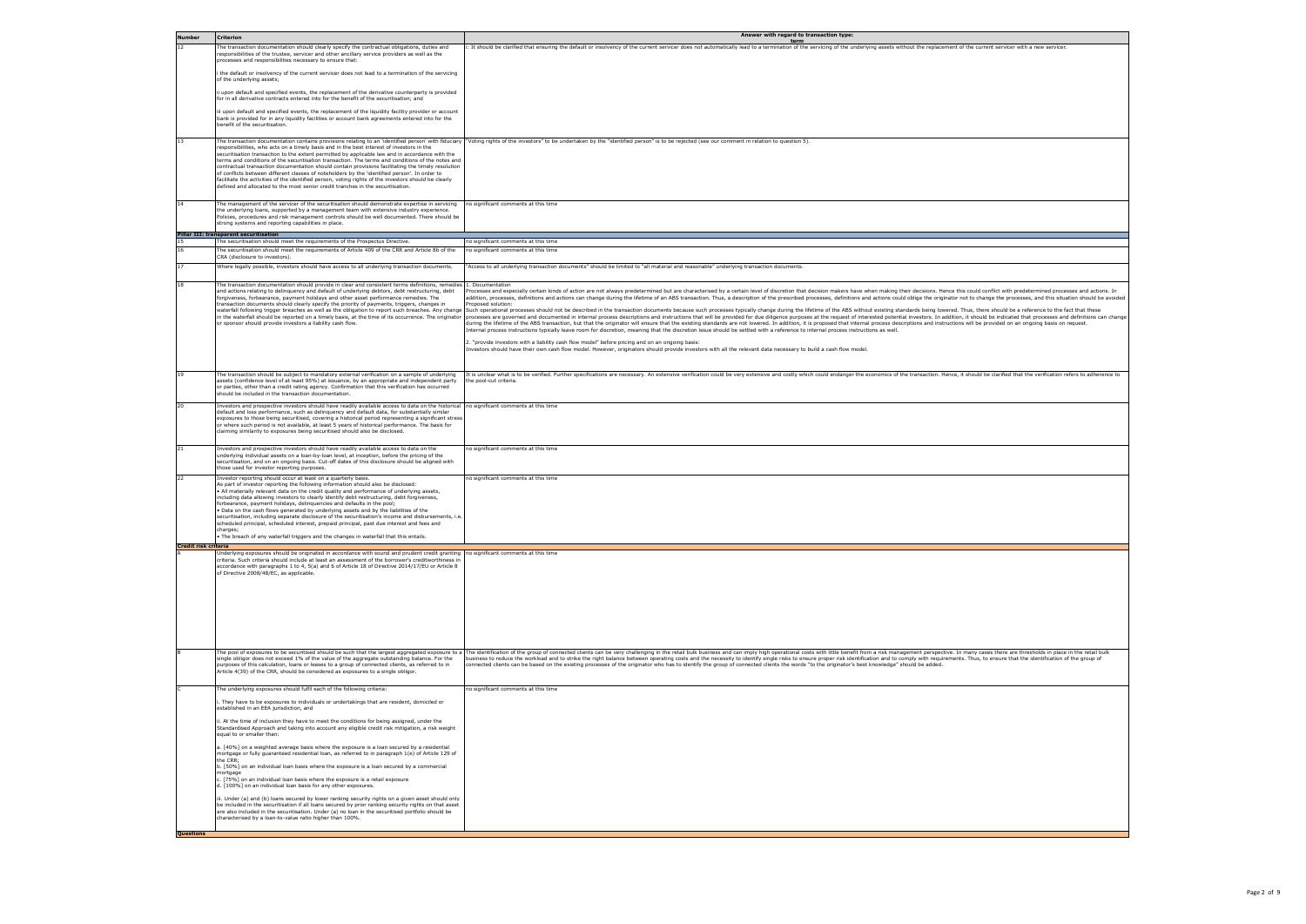| <b>Number</b>        | <b>Criterion</b>                                                                                                                                                                                                                                                                                                                                                                                                                                                                                                                                                                                                                                                                                                                                                                                                          | Answer with regard to transaction type:<br>term                                                                                                                                                                                                                                                                                                                                                                                                                                                                                                                                                                                                                                                                                                                                                                                                                                                                                                                                                                                                                                                                                                                                                                                                                                                                                                                                                                                                                                                                                                                                                                                                       |
|----------------------|---------------------------------------------------------------------------------------------------------------------------------------------------------------------------------------------------------------------------------------------------------------------------------------------------------------------------------------------------------------------------------------------------------------------------------------------------------------------------------------------------------------------------------------------------------------------------------------------------------------------------------------------------------------------------------------------------------------------------------------------------------------------------------------------------------------------------|-------------------------------------------------------------------------------------------------------------------------------------------------------------------------------------------------------------------------------------------------------------------------------------------------------------------------------------------------------------------------------------------------------------------------------------------------------------------------------------------------------------------------------------------------------------------------------------------------------------------------------------------------------------------------------------------------------------------------------------------------------------------------------------------------------------------------------------------------------------------------------------------------------------------------------------------------------------------------------------------------------------------------------------------------------------------------------------------------------------------------------------------------------------------------------------------------------------------------------------------------------------------------------------------------------------------------------------------------------------------------------------------------------------------------------------------------------------------------------------------------------------------------------------------------------------------------------------------------------------------------------------------------------|
| 12                   | The transaction documentation should clearly specify the contractual obligations, duties and<br>responsibilities of the trustee, servicer and other ancillary service providers as well as the<br>processes and responsibilities necessary to ensure that:                                                                                                                                                                                                                                                                                                                                                                                                                                                                                                                                                                | i: It should be clarified that ensuring the default or insolvency of the current servicer does not automatically lead to a termination of the servicing of the underlying assets without the replacement of the current servic                                                                                                                                                                                                                                                                                                                                                                                                                                                                                                                                                                                                                                                                                                                                                                                                                                                                                                                                                                                                                                                                                                                                                                                                                                                                                                                                                                                                                        |
|                      | the default or insolvency of the current servicer does not lead to a termination of the servicing<br>of the underlying assets;                                                                                                                                                                                                                                                                                                                                                                                                                                                                                                                                                                                                                                                                                            |                                                                                                                                                                                                                                                                                                                                                                                                                                                                                                                                                                                                                                                                                                                                                                                                                                                                                                                                                                                                                                                                                                                                                                                                                                                                                                                                                                                                                                                                                                                                                                                                                                                       |
|                      | i upon default and specified events, the replacement of the derivative counterparty is provided<br>for in all derivative contracts entered into for the benefit of the securitisation; and                                                                                                                                                                                                                                                                                                                                                                                                                                                                                                                                                                                                                                |                                                                                                                                                                                                                                                                                                                                                                                                                                                                                                                                                                                                                                                                                                                                                                                                                                                                                                                                                                                                                                                                                                                                                                                                                                                                                                                                                                                                                                                                                                                                                                                                                                                       |
|                      | iii upon default and specified events, the replacement of the liquidity facility provider or account<br>bank is provided for in any liquidity facilities or account bank agreements entered into for the<br>benefit of the securitisation.                                                                                                                                                                                                                                                                                                                                                                                                                                                                                                                                                                                |                                                                                                                                                                                                                                                                                                                                                                                                                                                                                                                                                                                                                                                                                                                                                                                                                                                                                                                                                                                                                                                                                                                                                                                                                                                                                                                                                                                                                                                                                                                                                                                                                                                       |
| 13                   | responsibilities, who acts on a timely basis and in the best interest of investors in the<br>securitisation transaction to the extent permitted by applicable law and in accordance with the<br>terms and conditions of the securitisation transaction. The terms and conditions of the notes and<br>contractual transaction documentation should contain provisions facilitating the timely resolution<br>of conflicts between different classes of noteholders by the 'identified person'. In order to<br>facilitate the activities of the identified person, voting rights of the investors should be clearly<br>defined and allocated to the most senior credit tranches in the securitisation.                                                                                                                       | The transaction documentation contains provisions relating to an 'identified person' with fiduciary  "Voting rights of the investors" to be undertaken by the "identified person" is to be rejected (see our comment in relati                                                                                                                                                                                                                                                                                                                                                                                                                                                                                                                                                                                                                                                                                                                                                                                                                                                                                                                                                                                                                                                                                                                                                                                                                                                                                                                                                                                                                        |
| 14                   | The management of the servicer of the securitisation should demonstrate expertise in servicing<br>the underlying loans, supported by a management team with extensive industry experience.<br>Policies, procedures and risk management controls should be well documented. There should be<br>strong systems and reporting capabilities in place.                                                                                                                                                                                                                                                                                                                                                                                                                                                                         | no significant comments at this time                                                                                                                                                                                                                                                                                                                                                                                                                                                                                                                                                                                                                                                                                                                                                                                                                                                                                                                                                                                                                                                                                                                                                                                                                                                                                                                                                                                                                                                                                                                                                                                                                  |
|                      | Pillar III: transparent securitisation<br>he securitisation should meet the requirements of the Prospectus Directive                                                                                                                                                                                                                                                                                                                                                                                                                                                                                                                                                                                                                                                                                                      | no significant comments at this time                                                                                                                                                                                                                                                                                                                                                                                                                                                                                                                                                                                                                                                                                                                                                                                                                                                                                                                                                                                                                                                                                                                                                                                                                                                                                                                                                                                                                                                                                                                                                                                                                  |
| 16                   | The securitisation should meet the requirements of Article 409 of the CRR and Article 8b of the                                                                                                                                                                                                                                                                                                                                                                                                                                                                                                                                                                                                                                                                                                                           | no significant comments at this time                                                                                                                                                                                                                                                                                                                                                                                                                                                                                                                                                                                                                                                                                                                                                                                                                                                                                                                                                                                                                                                                                                                                                                                                                                                                                                                                                                                                                                                                                                                                                                                                                  |
| 17                   | CRA (disclosure to investors).<br>Where legally possible, investors should have access to all underlying transaction documents.                                                                                                                                                                                                                                                                                                                                                                                                                                                                                                                                                                                                                                                                                           | "Access to all underlying transaction documents" should be limited to "all material and reasonable" underlying transaction documents.                                                                                                                                                                                                                                                                                                                                                                                                                                                                                                                                                                                                                                                                                                                                                                                                                                                                                                                                                                                                                                                                                                                                                                                                                                                                                                                                                                                                                                                                                                                 |
| 18                   | The transaction documentation should provide in clear and consistent terms definitions, remedies 1. Documentation<br>and actions relating to delinquency and default of underlying debtors, debt restructuring, debt<br>forgiveness, forbearance, payment holidays and other asset performance remedies. The<br>transaction documents should clearly specify the priority of payments, triggers, changes in<br>or sponsor should provide investors a liability cash flow.                                                                                                                                                                                                                                                                                                                                                 | rocesses and especially certain kinds of action are not always predetermined but are characterised by a certain level of discretion that decision makers have when making their decisions. Hence this could conflict with pred<br>addition, processes, definitions and actions can change during the lifetime of an ABS transaction. Thus, a description of the prescribed processes, definitions and actions could oblige the originator not to change the proc<br>roposed solution:<br>waterfall following trigger breaches as well as the obligation to report such breaches. Any change Such operational processes should not be described in the transaction documents because such processes typically change dur<br>in the waterfall should be reported on a timely basis, at the time of its occurrence. The originator  processes are governed and documented in internal process descriptions and instructions that will be provided for due di<br>during the lifetime of the ABS transaction, but that the originator will ensure that the existing standards are not lowered. In addition, it is proposed that internal process descriptions and instructions will be provided<br>Internal process instructions typically leave room for discretion, meaning that the discretion issue should be settled with a reference to internal process instructions as well.<br>2. "provide investors with a liability cash flow model" before pricing and on an ongoing basis:<br>Investors should have their own cash flow model. However, originators should provide investors with all the relevant data necessary to build a cash flow model. |
| 19                   | The transaction should be subject to mandatory external verification on a sample of underlying<br>assets (confidence level of at least 95%) at issuance, by an appropriate and independent party<br>or parties, other than a credit rating agency. Confirmation that this verification has occurred<br>should be included in the transaction documentation.                                                                                                                                                                                                                                                                                                                                                                                                                                                               | It is unclear what is to be verified. Further specifications are necessary. An extensive verification could be very extensive and costly which could endanger the economics of the transaction. Hence, it should be clarified<br>he pool-cut criteria.                                                                                                                                                                                                                                                                                                                                                                                                                                                                                                                                                                                                                                                                                                                                                                                                                                                                                                                                                                                                                                                                                                                                                                                                                                                                                                                                                                                                |
| 20                   | Investors and prospective investors should have readily available access to data on the historical no significant comments at this time<br>default and loss performance, such as delinquency and default data, for substantially similar<br>exposures to those being securitised, covering a historical period representing a significant stress<br>or where such period is not available, at least 5 years of historical performance. The basis for<br>claiming similarity to exposures being securitised should also be disclosed.                                                                                                                                                                                                                                                                                      |                                                                                                                                                                                                                                                                                                                                                                                                                                                                                                                                                                                                                                                                                                                                                                                                                                                                                                                                                                                                                                                                                                                                                                                                                                                                                                                                                                                                                                                                                                                                                                                                                                                       |
| 21                   | Investors and prospective investors should have readily available access to data on the<br>underlying individual assets on a loan-by-loan level, at inception, before the pricing of the<br>securitisation, and on an ongoing basis. Cut-off dates of this disclosure should be aligned with<br>those used for investor reporting purposes.                                                                                                                                                                                                                                                                                                                                                                                                                                                                               | no significant comments at this time                                                                                                                                                                                                                                                                                                                                                                                                                                                                                                                                                                                                                                                                                                                                                                                                                                                                                                                                                                                                                                                                                                                                                                                                                                                                                                                                                                                                                                                                                                                                                                                                                  |
| 22                   | Investor reporting should occur at least on a quarterly basis.<br>As part of investor reporting the following information should also be disclosed:<br>All materially relevant data on the credit quality and performance of underlying assets,<br>including data allowing investors to clearly identify debt restructuring, debt forgiveness,<br>forbearance, payment holidays, delinquencies and defaults in the pool;<br>Data on the cash flows generated by underlying assets and by the liabilities of the<br>securitisation, including separate disclosure of the securitisation's income and disbursements, i.e.<br>scheduled principal, scheduled interest, prepaid principal, past due interest and fees and<br>charges;<br>The breach of any waterfall triggers and the changes in waterfall that this entails. | no significant comments at this time                                                                                                                                                                                                                                                                                                                                                                                                                                                                                                                                                                                                                                                                                                                                                                                                                                                                                                                                                                                                                                                                                                                                                                                                                                                                                                                                                                                                                                                                                                                                                                                                                  |
| Credit risk criteria | Underlying exposures should be originated in accordance with sound and prudent credit granting no significant comments at this time                                                                                                                                                                                                                                                                                                                                                                                                                                                                                                                                                                                                                                                                                       |                                                                                                                                                                                                                                                                                                                                                                                                                                                                                                                                                                                                                                                                                                                                                                                                                                                                                                                                                                                                                                                                                                                                                                                                                                                                                                                                                                                                                                                                                                                                                                                                                                                       |
|                      | criteria. Such criteria should include at least an assessment of the borrower's creditworthiness in<br>accordance with paragraphs 1 to 4, 5(a) and 6 of Article 18 of Directive 2014/17/EU or Article 8<br>of Directive 2008/48/EC, as applicable.                                                                                                                                                                                                                                                                                                                                                                                                                                                                                                                                                                        |                                                                                                                                                                                                                                                                                                                                                                                                                                                                                                                                                                                                                                                                                                                                                                                                                                                                                                                                                                                                                                                                                                                                                                                                                                                                                                                                                                                                                                                                                                                                                                                                                                                       |
|                      | The pool of exposures to be securitised should be such that the largest aggregated exposure to a<br>single obligor does not exceed 1% of the value of the aggregate outstanding balance. For the<br>purposes of this calculation, loans or leases to a group of connected clients, as referred to in<br>Article 4(39) of the CRR, should be considered as exposures to a single obligor.                                                                                                                                                                                                                                                                                                                                                                                                                                  | The identification of the group of connected clients can be very challenging in the retail bulk business and can imply high operational costs with little benefit from a risk management perspective. In many cases there are<br>business to reduce the workload and to strike the right balance between operating costs and the necessity to identify single risks to ensure proper risk identification and to comply with requirements. Thus, to ensure that<br>connected clients can be based on the existing processes of the originator who has to identify the group of connected clients the words "to the originator's best knowledge" should be added.                                                                                                                                                                                                                                                                                                                                                                                                                                                                                                                                                                                                                                                                                                                                                                                                                                                                                                                                                                                       |
|                      | The underlying exposures should fulfil each of the following criteria:                                                                                                                                                                                                                                                                                                                                                                                                                                                                                                                                                                                                                                                                                                                                                    | no significant comments at this time                                                                                                                                                                                                                                                                                                                                                                                                                                                                                                                                                                                                                                                                                                                                                                                                                                                                                                                                                                                                                                                                                                                                                                                                                                                                                                                                                                                                                                                                                                                                                                                                                  |
|                      | . They have to be exposures to individuals or undertakings that are resident, domiciled or<br>established in an EEA jurisdiction, and                                                                                                                                                                                                                                                                                                                                                                                                                                                                                                                                                                                                                                                                                     |                                                                                                                                                                                                                                                                                                                                                                                                                                                                                                                                                                                                                                                                                                                                                                                                                                                                                                                                                                                                                                                                                                                                                                                                                                                                                                                                                                                                                                                                                                                                                                                                                                                       |
|                      | i. At the time of inclusion they have to meet the conditions for being assigned, under the<br>Standardised Approach and taking into account any eligible credit risk mitigation, a risk weight<br>equal to or smaller than:                                                                                                                                                                                                                                                                                                                                                                                                                                                                                                                                                                                               |                                                                                                                                                                                                                                                                                                                                                                                                                                                                                                                                                                                                                                                                                                                                                                                                                                                                                                                                                                                                                                                                                                                                                                                                                                                                                                                                                                                                                                                                                                                                                                                                                                                       |
|                      | a. [40%] on a weighted average basis where the exposure is a loan secured by a residential<br>mortgage or fully guaranteed residential loan, as referred to in paragraph 1(e) of Article 129 of<br>the CRR;                                                                                                                                                                                                                                                                                                                                                                                                                                                                                                                                                                                                               |                                                                                                                                                                                                                                                                                                                                                                                                                                                                                                                                                                                                                                                                                                                                                                                                                                                                                                                                                                                                                                                                                                                                                                                                                                                                                                                                                                                                                                                                                                                                                                                                                                                       |
|                      | b. [50%] on an individual loan basis where the exposure is a loan secured by a commercial<br>mortgage<br>:. [75%] on an individual loan basis where the exposure is a retail exposure                                                                                                                                                                                                                                                                                                                                                                                                                                                                                                                                                                                                                                     |                                                                                                                                                                                                                                                                                                                                                                                                                                                                                                                                                                                                                                                                                                                                                                                                                                                                                                                                                                                                                                                                                                                                                                                                                                                                                                                                                                                                                                                                                                                                                                                                                                                       |
|                      | d. [100%] on an individual loan basis for any other exposures.<br>ii. Under (a) and (b) loans secured by lower ranking security rights on a given asset should only                                                                                                                                                                                                                                                                                                                                                                                                                                                                                                                                                                                                                                                       |                                                                                                                                                                                                                                                                                                                                                                                                                                                                                                                                                                                                                                                                                                                                                                                                                                                                                                                                                                                                                                                                                                                                                                                                                                                                                                                                                                                                                                                                                                                                                                                                                                                       |
|                      | be included in the securitisation if all loans secured by prior ranking security rights on that asset<br>are also included in the securitisation. Under (a) no loan in the securitised portfolio should be<br>characterised by a loan-to-value ratio higher than 100%.                                                                                                                                                                                                                                                                                                                                                                                                                                                                                                                                                    |                                                                                                                                                                                                                                                                                                                                                                                                                                                                                                                                                                                                                                                                                                                                                                                                                                                                                                                                                                                                                                                                                                                                                                                                                                                                                                                                                                                                                                                                                                                                                                                                                                                       |
| <b>Questions</b>     |                                                                                                                                                                                                                                                                                                                                                                                                                                                                                                                                                                                                                                                                                                                                                                                                                           |                                                                                                                                                                                                                                                                                                                                                                                                                                                                                                                                                                                                                                                                                                                                                                                                                                                                                                                                                                                                                                                                                                                                                                                                                                                                                                                                                                                                                                                                                                                                                                                                                                                       |

| ent servicer with a new servicer.                                                                               |
|-----------------------------------------------------------------------------------------------------------------|
|                                                                                                                 |
|                                                                                                                 |
|                                                                                                                 |
|                                                                                                                 |
|                                                                                                                 |
|                                                                                                                 |
|                                                                                                                 |
|                                                                                                                 |
|                                                                                                                 |
|                                                                                                                 |
|                                                                                                                 |
|                                                                                                                 |
|                                                                                                                 |
|                                                                                                                 |
|                                                                                                                 |
|                                                                                                                 |
|                                                                                                                 |
|                                                                                                                 |
|                                                                                                                 |
| onflict with predetermined processes and actions. In<br>nge the processes, and this situation should be avoided |
| e should be a reference to the fact that these                                                                  |
| be indicated that processes and definitions can change<br>rovided on an ongoing basis on request.               |
|                                                                                                                 |
|                                                                                                                 |
|                                                                                                                 |
| e clarified that the verification refers to adherence to                                                        |
|                                                                                                                 |
|                                                                                                                 |
|                                                                                                                 |
|                                                                                                                 |
|                                                                                                                 |
|                                                                                                                 |
|                                                                                                                 |
|                                                                                                                 |
|                                                                                                                 |
|                                                                                                                 |
|                                                                                                                 |
|                                                                                                                 |
|                                                                                                                 |
|                                                                                                                 |
|                                                                                                                 |
|                                                                                                                 |
|                                                                                                                 |
|                                                                                                                 |
|                                                                                                                 |
|                                                                                                                 |
|                                                                                                                 |
|                                                                                                                 |
| es there are thresholds in place in the retail bulk<br>ensure that the identification of the group of           |
|                                                                                                                 |
|                                                                                                                 |
|                                                                                                                 |
|                                                                                                                 |
|                                                                                                                 |
|                                                                                                                 |
|                                                                                                                 |
|                                                                                                                 |
|                                                                                                                 |
|                                                                                                                 |
|                                                                                                                 |
|                                                                                                                 |
|                                                                                                                 |
|                                                                                                                 |
|                                                                                                                 |
|                                                                                                                 |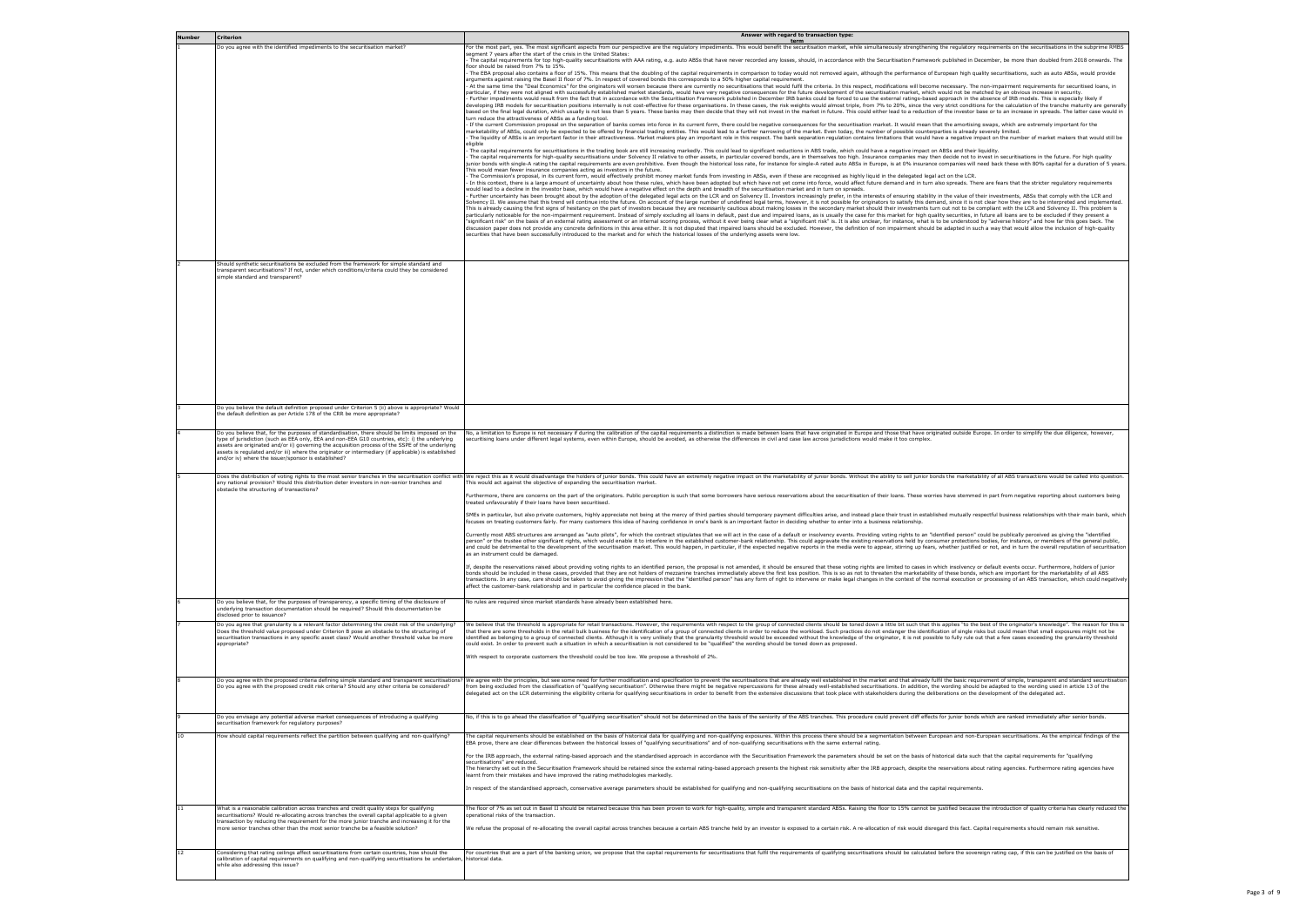| <b>Number</b> | <b>Criterion</b>                                                                                                                                                                                                                                                                                                                                                                                                                                                    | Answer with regard to transaction type:<br>term                                                                                                                                                                                                                                                                                                                                                                                                                                                                                                                                                                                                                                                                                                                                                                                                                                                                                                                                                                                                                                                                                                                                                                                                                                                                                                                                                                                                                                                                                                                                                                                                                                                                                                                                                                                                                                                                                                                                                                                                                                                                                                                                                                                                                                                                                                                                                                                                                                                                                                                                                                                                                                                                                                                                                                                                                                                                                                                                                                                                                                                                                                                                                                                                                                                                                                                                                                                                                                                                                                                                                                                                                                                                                                                                                                                                                                                                                                                                                                                                                                                                                                                                                                                                                                                                                                                                                                                                                                                                                                                                                                                                                                                                                                                                                                                                                                                                                                                                                                                                                                                                                                                                                                                                                                                                                                                                                                                                                                                                                                                                                                                                                                                                                                                                                                                                                          |
|---------------|---------------------------------------------------------------------------------------------------------------------------------------------------------------------------------------------------------------------------------------------------------------------------------------------------------------------------------------------------------------------------------------------------------------------------------------------------------------------|--------------------------------------------------------------------------------------------------------------------------------------------------------------------------------------------------------------------------------------------------------------------------------------------------------------------------------------------------------------------------------------------------------------------------------------------------------------------------------------------------------------------------------------------------------------------------------------------------------------------------------------------------------------------------------------------------------------------------------------------------------------------------------------------------------------------------------------------------------------------------------------------------------------------------------------------------------------------------------------------------------------------------------------------------------------------------------------------------------------------------------------------------------------------------------------------------------------------------------------------------------------------------------------------------------------------------------------------------------------------------------------------------------------------------------------------------------------------------------------------------------------------------------------------------------------------------------------------------------------------------------------------------------------------------------------------------------------------------------------------------------------------------------------------------------------------------------------------------------------------------------------------------------------------------------------------------------------------------------------------------------------------------------------------------------------------------------------------------------------------------------------------------------------------------------------------------------------------------------------------------------------------------------------------------------------------------------------------------------------------------------------------------------------------------------------------------------------------------------------------------------------------------------------------------------------------------------------------------------------------------------------------------------------------------------------------------------------------------------------------------------------------------------------------------------------------------------------------------------------------------------------------------------------------------------------------------------------------------------------------------------------------------------------------------------------------------------------------------------------------------------------------------------------------------------------------------------------------------------------------------------------------------------------------------------------------------------------------------------------------------------------------------------------------------------------------------------------------------------------------------------------------------------------------------------------------------------------------------------------------------------------------------------------------------------------------------------------------------------------------------------------------------------------------------------------------------------------------------------------------------------------------------------------------------------------------------------------------------------------------------------------------------------------------------------------------------------------------------------------------------------------------------------------------------------------------------------------------------------------------------------------------------------------------------------------------------------------------------------------------------------------------------------------------------------------------------------------------------------------------------------------------------------------------------------------------------------------------------------------------------------------------------------------------------------------------------------------------------------------------------------------------------------------------------------------------------------------------------------------------------------------------------------------------------------------------------------------------------------------------------------------------------------------------------------------------------------------------------------------------------------------------------------------------------------------------------------------------------------------------------------------------------------------------------------------------------------------------------------------------------------------------------------------------------------------------------------------------------------------------------------------------------------------------------------------------------------------------------------------------------------------------------------------------------------------------------------------------------------------------------------------------------------------------------------------------------------------------------------------------------|
|               | Do you agree with the identified impediments to the securitisation market?                                                                                                                                                                                                                                                                                                                                                                                          | For the most part, yes. The most significant aspects from our perspective are the regulatory impediments. This would benefit the securitisation market, while simultaneously strengthening the regulatory requirements on the<br>seament 7 years after the start of the crisis in the United States:<br>The capital requirements for top high-quality securitisations with AAA rating, e.g. auto ABSs that have never recorded any losses, should, in accordance with the Securitisation Framework published in December, be more than<br>floor should be raised from 7% to 15%.<br>The EBA proposal also contains a floor of 15%. This means that the doubling of the capital requirements in comparison to today would not removed again, although the performance of European high quality securitisations, suc<br>arguments against raising the Basel II floor of 7%. In respect of covered bonds this corresponds to a 50% higher capital requirement.<br>At the same time the "Deal Economics" for the originators will worsen because there are currently no securitisations that would fulfil the criteria. In this respect, modifications will become necessary. The non-impairment<br>particular, if they were not aligned with successfully established market standards, would have very negative consequences for the future development of the securitisation market, which would not be matched by an obvious i<br>Further impediments would result from the fact that in accordance with the Securitisation Framework published in December IRB banks could be forced to use the external ratings-based approach in the absence of IRB models. T<br>developing IRB models for securitisation positions internally is not cost-effective for these organisations. In these cases, the risk weights would almost triple, from 7% to 20%, since the very strict conditions for the ca<br>based on the final legal duration, which usually is not less than 5 years. These banks may then decide that they will not invest in the market in future. This could either lead to a reduction of the investor base or to an<br>turn reduce the attractiveness of ABSs as a funding tool.<br>If the current Commission proposal on the separation of banks comes into force in its current form, there could be negative consequences for the securitisation market. It would mean that the amortising swaps, which are ext<br>marketability of ABSs, could only be expected to be offered by financial trading entities. This would lead to a further narrowing of the market. Even today, the number of possible counterparties is already severely limited<br>The liquidity of ABSs is an important factor in their attractiveness. Market makers play an important role in this respect. The bank separation requlation contains limitations that would have a neqative impact on the numbe<br>eligible<br>The capital requirements for securitisations in the trading book are still increasing markedly. This could lead to significant reductions in ABS trade, which could have a negative impact on ABSs and their liquidity.<br>The capital requirements for high-quality securitisations under Solvency II relative to other assets, in particular covered bonds, are in themselves too high. Insurance companies may then decide not to invest in securitisa<br>junior bonds with single-A rating the capital requirements are even prohibitive. Even though the historical loss rate, for instance for single-A rated auto ABSs in Europe, is at 0% insurance companies will need back these<br>This would mean fewer insurance companies acting as investors in the future.<br>The Commission's proposal, in its current form, would effectively prohibit money market funds from investing in ABSs, even if these are recognised as highly liquid in the delegated legal act on the LCR.<br>In this context, there is a large amount of uncertainty about how these rules, which have been adopted but which have not yet come into force, would affect future demand and in turn also spreads. There are fears that the s<br>would lead to a decline in the investor base, which would have a negative effect on the depth and breadth of the securitisation market and in turn on spreads.<br>Further uncertainty has been brought about by the adoption of the delegated legal acts on the LCR and on Solvency II. Investors increasingly prefer, in the interests of ensuring stability in the value of their investments,<br>Solvency II. We assume that this trend will continue into the future. On account of the large number of undefined legal terms, however, it is not possible for originators to satisfy this demand, since it is not clear how t<br>This is already causing the first signs of hesitancy on the part of investors because they are necessarily cautious about making losses in the secondary market should their investments turn out not to be compliant with the<br>particularly noticeable for the non-impairment requirement. Instead of simply excluding all loans in default, past due and impaired loans, as is usually the case for this market for high quality securities, in future all l<br>'significant risk" on the basis of an external rating assessment or an internal scoring process, without it ever being clear what a "significant risk" is. It is also unclear, for instance, what is to be understood by "adve<br>discussion paper does not provide any concrete definitions in this area either. It is not disputed that impaired loans should be excluded. However, the definition of non impairment should be adapted in such a way that woul<br>securities that have been successfully introduced to the market and for which the historical losses of the underlying assets were low. |
|               | Should synthetic securitisations be excluded from the framework for simple standard and<br>transparent securitisations? If not, under which conditions/criteria could they be considered<br>simple standard and transparent?                                                                                                                                                                                                                                        |                                                                                                                                                                                                                                                                                                                                                                                                                                                                                                                                                                                                                                                                                                                                                                                                                                                                                                                                                                                                                                                                                                                                                                                                                                                                                                                                                                                                                                                                                                                                                                                                                                                                                                                                                                                                                                                                                                                                                                                                                                                                                                                                                                                                                                                                                                                                                                                                                                                                                                                                                                                                                                                                                                                                                                                                                                                                                                                                                                                                                                                                                                                                                                                                                                                                                                                                                                                                                                                                                                                                                                                                                                                                                                                                                                                                                                                                                                                                                                                                                                                                                                                                                                                                                                                                                                                                                                                                                                                                                                                                                                                                                                                                                                                                                                                                                                                                                                                                                                                                                                                                                                                                                                                                                                                                                                                                                                                                                                                                                                                                                                                                                                                                                                                                                                                                                                                                          |
|               | Do you believe the default definition proposed under Criterion 5 (ii) above is appropriate? Would<br>the default definition as per Article 178 of the CRR be more appropriate?                                                                                                                                                                                                                                                                                      |                                                                                                                                                                                                                                                                                                                                                                                                                                                                                                                                                                                                                                                                                                                                                                                                                                                                                                                                                                                                                                                                                                                                                                                                                                                                                                                                                                                                                                                                                                                                                                                                                                                                                                                                                                                                                                                                                                                                                                                                                                                                                                                                                                                                                                                                                                                                                                                                                                                                                                                                                                                                                                                                                                                                                                                                                                                                                                                                                                                                                                                                                                                                                                                                                                                                                                                                                                                                                                                                                                                                                                                                                                                                                                                                                                                                                                                                                                                                                                                                                                                                                                                                                                                                                                                                                                                                                                                                                                                                                                                                                                                                                                                                                                                                                                                                                                                                                                                                                                                                                                                                                                                                                                                                                                                                                                                                                                                                                                                                                                                                                                                                                                                                                                                                                                                                                                                                          |
|               | Do you believe that, for the purposes of standardisation, there should be limits imposed on the<br>type of jurisdiction (such as EEA only, EEA and non-EEA G10 countries, etc): i) the underlying<br>assets are originated and/or ii) governing the acquisition process of the SSPE of the underlying<br>assets is requlated and/or iii) where the originator or intermediary (if applicable) is established<br>and/or iv) where the issuer/sponsor is established? | No, a limitation to Europe is not necessary if during the calibration of the capital requirements a distinction is made between loans that have originated in Europe and those that have originated outside Europe. In order t<br>securitising loans under different legal systems, even within Europe, should be avoided, as otherwise the differences in civil and case law across jurisdictions would make it too complex.                                                                                                                                                                                                                                                                                                                                                                                                                                                                                                                                                                                                                                                                                                                                                                                                                                                                                                                                                                                                                                                                                                                                                                                                                                                                                                                                                                                                                                                                                                                                                                                                                                                                                                                                                                                                                                                                                                                                                                                                                                                                                                                                                                                                                                                                                                                                                                                                                                                                                                                                                                                                                                                                                                                                                                                                                                                                                                                                                                                                                                                                                                                                                                                                                                                                                                                                                                                                                                                                                                                                                                                                                                                                                                                                                                                                                                                                                                                                                                                                                                                                                                                                                                                                                                                                                                                                                                                                                                                                                                                                                                                                                                                                                                                                                                                                                                                                                                                                                                                                                                                                                                                                                                                                                                                                                                                                                                                                                                            |
|               | Does the distribution of voting rights to the most senior tranches in the securitisation conflict wit<br>any national provision? Would this distribution deter investors in non-senior tranches and<br>obstacle the structuring of transactions?                                                                                                                                                                                                                    | We reject this as it would disadvantage the holders of junior bonds. This could have an extremely negative impact on the marketability of junior bonds. Without the ability to sell junior bonds the marketability of all ABS<br>This would act against the objective of expanding the securitisation market.<br>Furthermore, there are concerns on the part of the originators. Public perception is such that some borrowers have serious reservations about the securitisation of their loans. These worries have stemmed in part from negat<br>treated unfavourably if their loans have been securitised.<br>SMEs in particular, but also private customers, highly appreciate not being at the mercy of third parties should temporary payment difficulties arise, and instead place their trust in established mutually respectful busine<br>focuses on treating customers fairly. For many customers this idea of having confidence in one's bank is an important factor in deciding whether to enter into a business relationship.<br>Currently most ABS structures are arranged as "auto pilots", for which the contract stipulates that we will act in the case of a default or insolvency events. Providing voting rights to an "identified person" could be publ<br>person" or the trustee other significant rights, which would enable it to interfere in the established customer-bank relationship. This could aggravate the existing reservations held by consumer protections bodies, for ins<br>and could be detrimental to the development of the securitisation market. This would happen, in particular, if the expected negative reports in the media were to appear, stirring up fears, whether justified or not, and in<br>as an instrument could be damaged.<br>If, despite the reservations raised about providing voting rights to an identified person, the proposal is not amended, it should be ensured that these voting rights are limited to cases in which insolvency or default even<br>bonds should be included in these cases, provided that they are not holders of mezzanine tranches immediately above the first loss position. This is so as not to threaten the marketability of these bonds, which are importa<br>transactions. In any case, care should be taken to avoid giving the impression that the "identified person" has any form of right to intervene or make legal changes in the context of the normal execution or processing of a<br>affect the customer-bank relationship and in particular the confidence placed in the bank.                                                                                                                                                                                                                                                                                                                                                                                                                                                                                                                                                                                                                                                                                                                                                                                                                                                                                                                                                                                                                                                                                                                                                                                                                                                                                                                                                                                                                                                                                                                                                                                                                                                                                                                                                                                                                                                                                                                                                                                                                                                                                                                                                                                                                                                                                                                                                                                                                                                                                                                                                                                                                                                                                                                                                                                                                                                                                                                                                                                                                                                                                                                                                                                                                                                                                |
|               | Do you believe that, for the purposes of transparency, a specific timing of the disclosure of<br>underlying transaction documentation should be required? Should this documentation be                                                                                                                                                                                                                                                                              | No rules are required since market standards have already been established here.                                                                                                                                                                                                                                                                                                                                                                                                                                                                                                                                                                                                                                                                                                                                                                                                                                                                                                                                                                                                                                                                                                                                                                                                                                                                                                                                                                                                                                                                                                                                                                                                                                                                                                                                                                                                                                                                                                                                                                                                                                                                                                                                                                                                                                                                                                                                                                                                                                                                                                                                                                                                                                                                                                                                                                                                                                                                                                                                                                                                                                                                                                                                                                                                                                                                                                                                                                                                                                                                                                                                                                                                                                                                                                                                                                                                                                                                                                                                                                                                                                                                                                                                                                                                                                                                                                                                                                                                                                                                                                                                                                                                                                                                                                                                                                                                                                                                                                                                                                                                                                                                                                                                                                                                                                                                                                                                                                                                                                                                                                                                                                                                                                                                                                                                                                                         |
|               | disclosed prior to issuance?<br>Do you agree that granularity is a relevant factor determining the credit risk of the underlying?<br>Does the threshold value proposed under Criterion B pose an obstacle to the structuring of<br>securitisation transactions in any specific asset class? Would another threshold value be more<br>appropriate?                                                                                                                   | We believe that the threshold is appropriate for retail transactions. However, the requirements with respect to the group of connected clients should be toned down a little bit such that this applies "to the best of the or<br>that there are some thresholds in the retail bulk business for the identification of a group of connected clients in order to reduce the workload. Such practices do not endanger the identification of single risks but could<br>identified as belonging to a group of connected clients. Although it is very unlikely that the granularity threshold would be exceeded without the knowledge of the originator, it is not possible to fully rule out that a fe<br>could exist. In order to prevent such a situation in which a securitisation is not considered to be "qualified" the wording should be toned down as proposed.<br>With respect to corporate customers the threshold could be too low. We propose a threshold of 2%.                                                                                                                                                                                                                                                                                                                                                                                                                                                                                                                                                                                                                                                                                                                                                                                                                                                                                                                                                                                                                                                                                                                                                                                                                                                                                                                                                                                                                                                                                                                                                                                                                                                                                                                                                                                                                                                                                                                                                                                                                                                                                                                                                                                                                                                                                                                                                                                                                                                                                                                                                                                                                                                                                                                                                                                                                                                                                                                                                                                                                                                                                                                                                                                                                                                                                                                                                                                                                                                                                                                                                                                                                                                                                                                                                                                                                                                                                                                                                                                                                                                                                                                                                                                                                                                                                                                                                                                                                                                                                                                                                                                                                                                                                                                                                                                                                                                                                                 |
|               | Do you agree with the proposed criteria defining simple standard and transparent securitisations?<br>Do you agree with the proposed credit risk criteria? Should any other criteria be considered?                                                                                                                                                                                                                                                                  | We agree with the principles, but see some need for further modification and specification to prevent the securitisations that are already well established in the market and that already fulfil the basic requirement of sim<br>from being excluded from the classification of "qualifying securitisation". Otherwise there might be negative repercussions for these already well-established securitisations. In addition, the wording should be adapted to<br>delegated act on the LCR determining the eligibility criteria for qualifying securitisations in order to benefit from the extensive discussions that took place with stakeholders during the deliberations on the development                                                                                                                                                                                                                                                                                                                                                                                                                                                                                                                                                                                                                                                                                                                                                                                                                                                                                                                                                                                                                                                                                                                                                                                                                                                                                                                                                                                                                                                                                                                                                                                                                                                                                                                                                                                                                                                                                                                                                                                                                                                                                                                                                                                                                                                                                                                                                                                                                                                                                                                                                                                                                                                                                                                                                                                                                                                                                                                                                                                                                                                                                                                                                                                                                                                                                                                                                                                                                                                                                                                                                                                                                                                                                                                                                                                                                                                                                                                                                                                                                                                                                                                                                                                                                                                                                                                                                                                                                                                                                                                                                                                                                                                                                                                                                                                                                                                                                                                                                                                                                                                                                                                                                                         |
|               | Do you envisage any potential adverse market consequences of introducing a qualifying<br>securitisation framework for regulatory purposes?                                                                                                                                                                                                                                                                                                                          | No, if this is to go ahead the classification of "qualifying securitisation" should not be determined on the basis of the seniority of the ABS tranches. This procedure could prevent cliff effects for junior bonds which are                                                                                                                                                                                                                                                                                                                                                                                                                                                                                                                                                                                                                                                                                                                                                                                                                                                                                                                                                                                                                                                                                                                                                                                                                                                                                                                                                                                                                                                                                                                                                                                                                                                                                                                                                                                                                                                                                                                                                                                                                                                                                                                                                                                                                                                                                                                                                                                                                                                                                                                                                                                                                                                                                                                                                                                                                                                                                                                                                                                                                                                                                                                                                                                                                                                                                                                                                                                                                                                                                                                                                                                                                                                                                                                                                                                                                                                                                                                                                                                                                                                                                                                                                                                                                                                                                                                                                                                                                                                                                                                                                                                                                                                                                                                                                                                                                                                                                                                                                                                                                                                                                                                                                                                                                                                                                                                                                                                                                                                                                                                                                                                                                                           |
|               | How should capital requirements reflect the partition between qualifying and non-qualifying?                                                                                                                                                                                                                                                                                                                                                                        | The capital requirements should be established on the basis of historical data for qualifying and non-qualifying exposures. Within this process there should be a segmentation between European and non-European securitisatio<br>EBA prove, there are clear differences between the historical losses of "qualifying securitisations" and of non-qualifying securitisations with the same external rating.<br>For the IRB approach, the external rating-based approach and the standardised approach in accordance with the Securitisation Framework the parameters should be set on the basis of historical data such that the capital requ<br>securitisations" are reduced.<br>The hierarchy set out in the Securitisation Framework should be retained since the external rating-based approach presents the highest risk sensitivity after the IRB approach, despite the reservations about rating agencies<br>learnt from their mistakes and have improved the rating methodologies markedly.<br>In respect of the standardised approach, conservative average parameters should be established for qualifying and non-qualifying securitisations on the basis of historical data and the capital requirements.                                                                                                                                                                                                                                                                                                                                                                                                                                                                                                                                                                                                                                                                                                                                                                                                                                                                                                                                                                                                                                                                                                                                                                                                                                                                                                                                                                                                                                                                                                                                                                                                                                                                                                                                                                                                                                                                                                                                                                                                                                                                                                                                                                                                                                                                                                                                                                                                                                                                                                                                                                                                                                                                                                                                                                                                                                                                                                                                                                                                                                                                                                                                                                                                                                                                                                                                                                                                                                                                                                                                                                                                                                                                                                                                                                                                                                                                                                                                                                                                                                                                                                                                                                                                                                                                                                                                                                                                                                                                                                                                                                                                                                                    |
| 11            | What is a reasonable calibration across tranches and credit quality steps for qualifying<br>securitisations? Would re-allocating across tranches the overall capital applicable to a given<br>transaction by reducing the requirement for the more junior tranche and increasing it for the<br>more senior tranches other than the most senior tranche be a feasible solution?                                                                                      | The floor of 7% as set out in Basel II should be retained because this has been proven to work for high-quality, simple and transparent standard ABSs. Raising the floor to 15% cannot be justified because the introduction o<br>operational risks of the transaction.<br>We refuse the proposal of re-allocating the overall capital across tranches because a certain ABS tranche held by an investor is exposed to a certain risk. A re-allocation of risk would disregard this fact. Capital require                                                                                                                                                                                                                                                                                                                                                                                                                                                                                                                                                                                                                                                                                                                                                                                                                                                                                                                                                                                                                                                                                                                                                                                                                                                                                                                                                                                                                                                                                                                                                                                                                                                                                                                                                                                                                                                                                                                                                                                                                                                                                                                                                                                                                                                                                                                                                                                                                                                                                                                                                                                                                                                                                                                                                                                                                                                                                                                                                                                                                                                                                                                                                                                                                                                                                                                                                                                                                                                                                                                                                                                                                                                                                                                                                                                                                                                                                                                                                                                                                                                                                                                                                                                                                                                                                                                                                                                                                                                                                                                                                                                                                                                                                                                                                                                                                                                                                                                                                                                                                                                                                                                                                                                                                                                                                                                                                                |
|               | Considering that rating ceilings affect securitisations from certain countries, how should the<br>calibration of capital requirements on qualifying and non-qualifying securitisations be undertaken,<br>while also addressing this issue?                                                                                                                                                                                                                          | For countries that are a part of the banking union, we propose that the capital requirements for securitisations that fulfil the requirements of qualifying securitisations should be calculated before the sovereign rating c<br>historical data.                                                                                                                                                                                                                                                                                                                                                                                                                                                                                                                                                                                                                                                                                                                                                                                                                                                                                                                                                                                                                                                                                                                                                                                                                                                                                                                                                                                                                                                                                                                                                                                                                                                                                                                                                                                                                                                                                                                                                                                                                                                                                                                                                                                                                                                                                                                                                                                                                                                                                                                                                                                                                                                                                                                                                                                                                                                                                                                                                                                                                                                                                                                                                                                                                                                                                                                                                                                                                                                                                                                                                                                                                                                                                                                                                                                                                                                                                                                                                                                                                                                                                                                                                                                                                                                                                                                                                                                                                                                                                                                                                                                                                                                                                                                                                                                                                                                                                                                                                                                                                                                                                                                                                                                                                                                                                                                                                                                                                                                                                                                                                                                                                       |

## quirements on the securitisations in the subprime RMB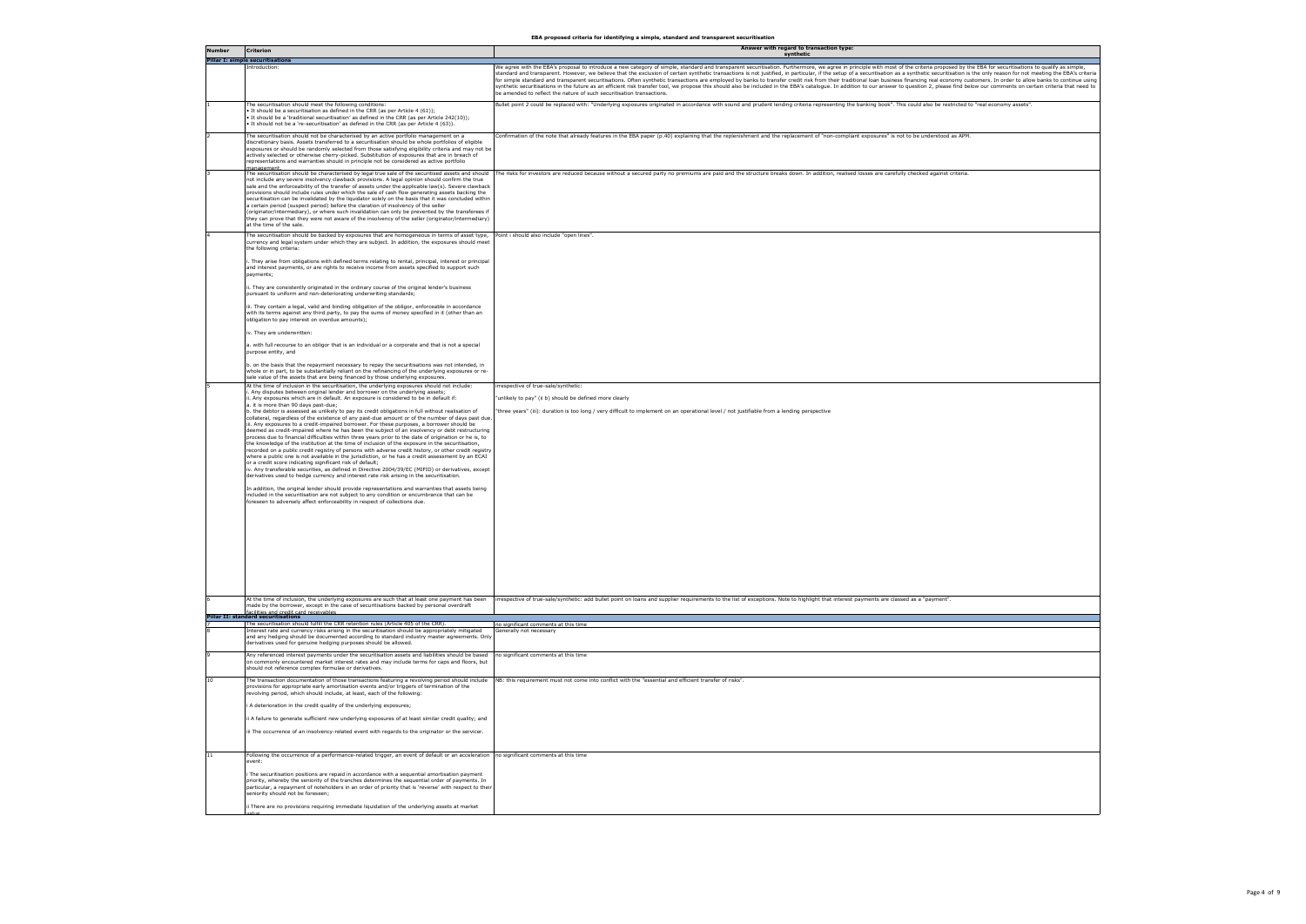|                 |                                                                                                                                                                                                                                                                                                                                                                                                                                                                                                                                                                                                                                                                                                                                                                                                                                                   | EBA proposed criteria for identifying a simple, standard and transparent securitisation<br>Answer with regard to transaction type:                                                                                                                                                                                                                                                                                                                                                                                                                                                                                                                                                                                                                                                                                                                                                                                                                                                                           |
|-----------------|---------------------------------------------------------------------------------------------------------------------------------------------------------------------------------------------------------------------------------------------------------------------------------------------------------------------------------------------------------------------------------------------------------------------------------------------------------------------------------------------------------------------------------------------------------------------------------------------------------------------------------------------------------------------------------------------------------------------------------------------------------------------------------------------------------------------------------------------------|--------------------------------------------------------------------------------------------------------------------------------------------------------------------------------------------------------------------------------------------------------------------------------------------------------------------------------------------------------------------------------------------------------------------------------------------------------------------------------------------------------------------------------------------------------------------------------------------------------------------------------------------------------------------------------------------------------------------------------------------------------------------------------------------------------------------------------------------------------------------------------------------------------------------------------------------------------------------------------------------------------------|
| <b>Number</b>   | <b>Criterion</b><br><b>Pillar I: simple securitisations</b>                                                                                                                                                                                                                                                                                                                                                                                                                                                                                                                                                                                                                                                                                                                                                                                       | synthetic                                                                                                                                                                                                                                                                                                                                                                                                                                                                                                                                                                                                                                                                                                                                                                                                                                                                                                                                                                                                    |
|                 | introduction:                                                                                                                                                                                                                                                                                                                                                                                                                                                                                                                                                                                                                                                                                                                                                                                                                                     | We agree with the EBA's proposal to introduce a new category of simple, standard and transparent securitisation. Furthermore, we agree in principle with most of the criteria proposed by the EBA for securitisations to quali<br>standard and transparent. However, we believe that the exclusion of certain synthetic transactions is not justified, in particular, if the setup of a securitisation as a synthetic securitisation is the only reason for not<br>for simple standard and transparent securitisations. Often synthetic transactions are employed by banks to transfer credit risk from their traditional loan business financing real economy customers. In order to allow banks<br>synthetic securitisations in the future as an efficient risk transfer tool, we propose this should also be included in the EBA's catalogue. In addition to our answer to question 2, please find below our comments on certain<br>be amended to reflect the nature of such securitisation transactions. |
|                 | The securitisation should meet the following conditions:<br>It should be a securitisation as defined in the CRR (as per Article 4 (61)):<br>It should be a 'traditional securitisation' as defined in the CRR (as per Article 242(10));<br>It should not be a 're-securitisation' as defined in the CRR (as per Article 4 (63)).                                                                                                                                                                                                                                                                                                                                                                                                                                                                                                                  | Bullet point 2 could be replaced with: "Underlying exposures originated in accordance with sound and prudent lending criteria representing the banking book". This could also be restricted to "real economy assets".                                                                                                                                                                                                                                                                                                                                                                                                                                                                                                                                                                                                                                                                                                                                                                                        |
|                 | The securitisation should not be characterised by an active portfolio management on a<br>discretionary basis. Assets transferred to a securitisation should be whole portfolios of eligible<br>exposures or should be randomly selected from those satisfying eligibility criteria and may not be<br>actively selected or otherwise cherry-picked. Substitution of exposures that are in breach of<br>representations and warranties should in principle not be considered as active portfolio                                                                                                                                                                                                                                                                                                                                                    | Confirmation of the note that already features in the EBA paper (p.40) explaining that the replenishment and the replacement of "non-compliant exposures" is not to be understood as APM.                                                                                                                                                                                                                                                                                                                                                                                                                                                                                                                                                                                                                                                                                                                                                                                                                    |
|                 | The securitisation should be characterised by legal true sale of the securitised assets and should<br>not include any severe insolvency clawback provisions. A legal opinion should confirm the true<br>sale and the enforceability of the transfer of assets under the applicable law(s). Severe clawback<br>provisions should include rules under which the sale of cash flow generating assets backing the<br>securitisation can be invalidated by the liquidator solely on the basis that it was concluded within<br>a certain period (suspect period) before the claration of insolvency of the seller<br>(originator/intermediary), or where such invalidation can only be prevented by the transferees if<br>they can prove that they were not aware of the insolvency of the seller (originator/intermediary)<br>at the time of the sale. | The risks for investors are reduced because without a secured party no premiums are paid and the structure breaks down. In addition, realised losses are carefully checked against criteria.                                                                                                                                                                                                                                                                                                                                                                                                                                                                                                                                                                                                                                                                                                                                                                                                                 |
|                 | The securitisation should be backed by exposures that are homogeneous in terms of asset type,<br>currency and legal system under which they are subject. In addition, the exposures should meet<br>the following criteria:<br>They arise from obligations with defined terms relating to rental, principal, interest or principal                                                                                                                                                                                                                                                                                                                                                                                                                                                                                                                 | oint i should also include "open lines".                                                                                                                                                                                                                                                                                                                                                                                                                                                                                                                                                                                                                                                                                                                                                                                                                                                                                                                                                                     |
|                 | and interest payments, or are rights to receive income from assets specified to support such<br>payments;<br>. They are consistently originated in the ordinary course of the original lender's business                                                                                                                                                                                                                                                                                                                                                                                                                                                                                                                                                                                                                                          |                                                                                                                                                                                                                                                                                                                                                                                                                                                                                                                                                                                                                                                                                                                                                                                                                                                                                                                                                                                                              |
|                 | pursuant to uniform and non-deteriorating underwriting standards:<br>ii. They contain a legal, valid and binding obligation of the obligor, enforceable in accordance<br>with its terms against any third party, to pay the sums of money specified in it (other than an                                                                                                                                                                                                                                                                                                                                                                                                                                                                                                                                                                          |                                                                                                                                                                                                                                                                                                                                                                                                                                                                                                                                                                                                                                                                                                                                                                                                                                                                                                                                                                                                              |
|                 | obligation to pay interest on overdue amounts);<br>v. They are underwritten:                                                                                                                                                                                                                                                                                                                                                                                                                                                                                                                                                                                                                                                                                                                                                                      |                                                                                                                                                                                                                                                                                                                                                                                                                                                                                                                                                                                                                                                                                                                                                                                                                                                                                                                                                                                                              |
|                 | a. with full recourse to an obligor that is an individual or a corporate and that is not a special<br>purpose entity, and<br>b. on the basis that the repayment necessary to repay the securitisations was not intended, in                                                                                                                                                                                                                                                                                                                                                                                                                                                                                                                                                                                                                       |                                                                                                                                                                                                                                                                                                                                                                                                                                                                                                                                                                                                                                                                                                                                                                                                                                                                                                                                                                                                              |
|                 | whole or in part, to be substantially reliant on the refinancing of the underlying exposures or re-<br>sale value of the assets that are being financed by those underlying exposures.                                                                                                                                                                                                                                                                                                                                                                                                                                                                                                                                                                                                                                                            |                                                                                                                                                                                                                                                                                                                                                                                                                                                                                                                                                                                                                                                                                                                                                                                                                                                                                                                                                                                                              |
|                 | At the time of inclusion in the securitisation, the underlying exposures should not include:<br>. Any disputes between original lender and borrower on the underlying assets;<br>. Any exposures which are in default. An exposure is considered to be in default if:<br>a. it is more than 90 days past-due;<br>o. the debtor is assessed as unlikely to pay its credit obligations in full without realisation of<br>collateral, regardless of the existence of any past-due amount or of the number of days past due<br>ii. Any exposures to a credit-impaired borrower. For these purposes, a borrower should be                                                                                                                                                                                                                              | rrespective of true-sale/synthetic:<br>unlikely to pay" (ii b) should be defined more clearly<br>three years" (iii): duration is too long / very difficult to implement on an operational level / not justifiable from a lending perspective                                                                                                                                                                                                                                                                                                                                                                                                                                                                                                                                                                                                                                                                                                                                                                 |
|                 | deemed as credit-impaired where he has been the subject of an insolvency or debt restructuring<br>process due to financial difficulties within three years prior to the date of origination or he is, to<br>the knowledge of the institution at the time of inclusion of the exposure in the securitisation,<br>recorded on a public credit registry of persons with adverse credit history, or other credit registry<br>where a public one is not available in the jurisdiction, or he has a credit assessment by an ECAI<br>or a credit score indicating significant risk of default:<br>iv. Any transferable securities, as defined in Directive 2004/39/EC (MIFID) or derivatives, except<br>derivatives used to hedge currency and interest rate risk arising in the securitisation.                                                         |                                                                                                                                                                                                                                                                                                                                                                                                                                                                                                                                                                                                                                                                                                                                                                                                                                                                                                                                                                                                              |
|                 | In addition, the original lender should provide representations and warranties that assets being<br>included in the securitisation are not subject to any condition or encumbrance that can be<br>foreseen to adversely affect enforceability in respect of collections due.                                                                                                                                                                                                                                                                                                                                                                                                                                                                                                                                                                      |                                                                                                                                                                                                                                                                                                                                                                                                                                                                                                                                                                                                                                                                                                                                                                                                                                                                                                                                                                                                              |
|                 |                                                                                                                                                                                                                                                                                                                                                                                                                                                                                                                                                                                                                                                                                                                                                                                                                                                   |                                                                                                                                                                                                                                                                                                                                                                                                                                                                                                                                                                                                                                                                                                                                                                                                                                                                                                                                                                                                              |
|                 |                                                                                                                                                                                                                                                                                                                                                                                                                                                                                                                                                                                                                                                                                                                                                                                                                                                   |                                                                                                                                                                                                                                                                                                                                                                                                                                                                                                                                                                                                                                                                                                                                                                                                                                                                                                                                                                                                              |
|                 | At the time of inclusion, the underlying exposures are such that at least one payment has been<br>made by the borrower, except in the case of securitisations backed by personal overdraft<br>facilities and credit card receivables<br><b>Pillar II: standard securitisations</b>                                                                                                                                                                                                                                                                                                                                                                                                                                                                                                                                                                | irrespective of true-sale/synthetic: add bullet point on loans and supplier requirements to the list of exceptions. Note to highlight that interest payments are classed as a "payment".                                                                                                                                                                                                                                                                                                                                                                                                                                                                                                                                                                                                                                                                                                                                                                                                                     |
|                 | The securitisation should fulfill the CRR retention rules (Article 405 of the CRR).<br>interest rate and currency risks arising in the securitisation should be appropriately mitigated<br>and any hedging should be documented according to standard industry master agreements. Only<br>derivatives used for genuine hedging purposes should be allowed.                                                                                                                                                                                                                                                                                                                                                                                                                                                                                        | no significant comments at this time<br>Generally not necessary                                                                                                                                                                                                                                                                                                                                                                                                                                                                                                                                                                                                                                                                                                                                                                                                                                                                                                                                              |
|                 | Any referenced interest payments under the securitisation assets and liabilities should be based<br>on commonly encountered market interest rates and may include terms for caps and floors, but<br>should not reference complex formulae or derivatives.                                                                                                                                                                                                                                                                                                                                                                                                                                                                                                                                                                                         | no significant comments at this time                                                                                                                                                                                                                                                                                                                                                                                                                                                                                                                                                                                                                                                                                                                                                                                                                                                                                                                                                                         |
| 10 <sup>1</sup> | The transaction documentation of those transactions featuring a revolving period should include<br>provisions for appropriate early amortisation events and/or triggers of termination of the<br>evolving period, which should include, at least, each of the following:                                                                                                                                                                                                                                                                                                                                                                                                                                                                                                                                                                          | NB: this requirement must not come into conflict with the "essential and efficient transfer of risks".                                                                                                                                                                                                                                                                                                                                                                                                                                                                                                                                                                                                                                                                                                                                                                                                                                                                                                       |
|                 | A deterioration in the credit quality of the underlying exposures;<br>i A failure to generate sufficient new underlying exposures of at least similar credit quality; and<br>ii The occurrence of an insolvency-related event with regards to the originator or the servicer.                                                                                                                                                                                                                                                                                                                                                                                                                                                                                                                                                                     |                                                                                                                                                                                                                                                                                                                                                                                                                                                                                                                                                                                                                                                                                                                                                                                                                                                                                                                                                                                                              |
| 11              | Following the occurrence of a performance-related trigger, an event of default or an acceleration no significant comments at this time<br>event:                                                                                                                                                                                                                                                                                                                                                                                                                                                                                                                                                                                                                                                                                                  |                                                                                                                                                                                                                                                                                                                                                                                                                                                                                                                                                                                                                                                                                                                                                                                                                                                                                                                                                                                                              |
|                 | The securitisation positions are repaid in accordance with a sequential amortisation payment<br>priority, whereby the seniority of the tranches determines the sequential order of payments. In<br>particular, a repayment of noteholders in an order of priority that is 'reverse' with respect to their<br>seniority should not be foreseen;                                                                                                                                                                                                                                                                                                                                                                                                                                                                                                    |                                                                                                                                                                                                                                                                                                                                                                                                                                                                                                                                                                                                                                                                                                                                                                                                                                                                                                                                                                                                              |
|                 | i There are no provisions requiring immediate liquidation of the underlying assets at market                                                                                                                                                                                                                                                                                                                                                                                                                                                                                                                                                                                                                                                                                                                                                      |                                                                                                                                                                                                                                                                                                                                                                                                                                                                                                                                                                                                                                                                                                                                                                                                                                                                                                                                                                                                              |

**EBA proposed criteria for identifying a simple, standard and transparent securitisation**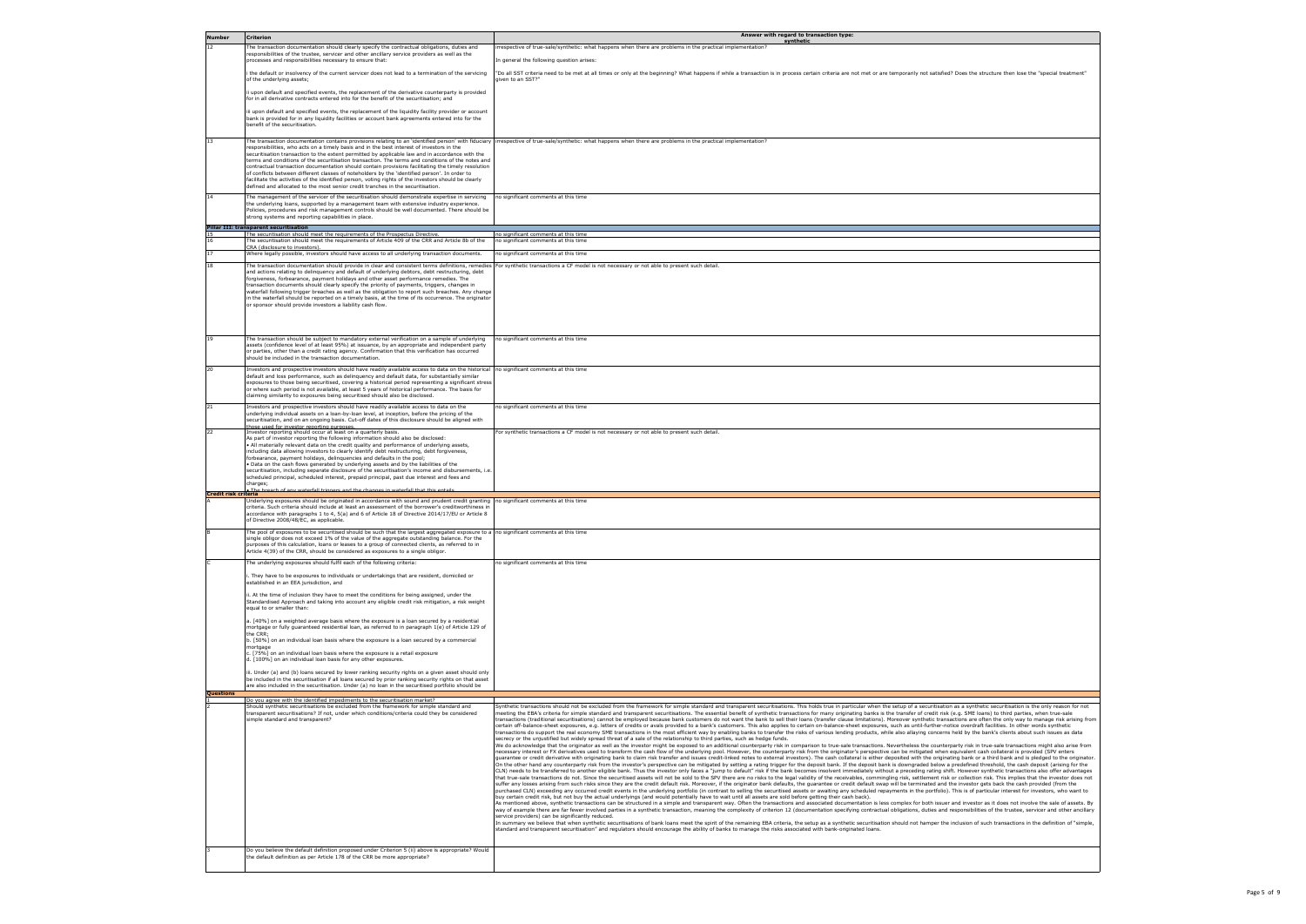| <b>Number</b>        | <b>Criterion</b>                                                                                                                                                                                                                                                                                                                                                                                                           | Answer with regard to transaction type:<br>synthetic                                                                                                                                                                                                                                                                                                                                                                                                                                                                                                                                                                                                                                                                                                                                                                                                                                                                                                                                                                                                                                                                                                                                                                                                                                                                                                                                                                                                                                                                                                                                                                                                                                                                                                                                   |
|----------------------|----------------------------------------------------------------------------------------------------------------------------------------------------------------------------------------------------------------------------------------------------------------------------------------------------------------------------------------------------------------------------------------------------------------------------|----------------------------------------------------------------------------------------------------------------------------------------------------------------------------------------------------------------------------------------------------------------------------------------------------------------------------------------------------------------------------------------------------------------------------------------------------------------------------------------------------------------------------------------------------------------------------------------------------------------------------------------------------------------------------------------------------------------------------------------------------------------------------------------------------------------------------------------------------------------------------------------------------------------------------------------------------------------------------------------------------------------------------------------------------------------------------------------------------------------------------------------------------------------------------------------------------------------------------------------------------------------------------------------------------------------------------------------------------------------------------------------------------------------------------------------------------------------------------------------------------------------------------------------------------------------------------------------------------------------------------------------------------------------------------------------------------------------------------------------------------------------------------------------|
| 12                   | The transaction documentation should clearly specify the contractual obligations, duties and<br>responsibilities of the trustee, servicer and other ancillary service providers as well as the                                                                                                                                                                                                                             | rrespective of true-sale/synthetic: what happens when there are problems in the practical implementation?                                                                                                                                                                                                                                                                                                                                                                                                                                                                                                                                                                                                                                                                                                                                                                                                                                                                                                                                                                                                                                                                                                                                                                                                                                                                                                                                                                                                                                                                                                                                                                                                                                                                              |
|                      | processes and responsibilities necessary to ensure that:                                                                                                                                                                                                                                                                                                                                                                   | In general the following question arises:                                                                                                                                                                                                                                                                                                                                                                                                                                                                                                                                                                                                                                                                                                                                                                                                                                                                                                                                                                                                                                                                                                                                                                                                                                                                                                                                                                                                                                                                                                                                                                                                                                                                                                                                              |
|                      | i the default or insolvency of the current servicer does not lead to a termination of the servicing<br>of the underlying assets;                                                                                                                                                                                                                                                                                           | "Do all SST criteria need to be met at all times or only at the beginning? What happens if while a transaction is in process certain criteria are not met or are temporarily not satisfied? Does the structure then lose the "<br>given to an SST?"                                                                                                                                                                                                                                                                                                                                                                                                                                                                                                                                                                                                                                                                                                                                                                                                                                                                                                                                                                                                                                                                                                                                                                                                                                                                                                                                                                                                                                                                                                                                    |
|                      | ii upon default and specified events, the replacement of the derivative counterparty is provided<br>for in all derivative contracts entered into for the benefit of the securitisation; and                                                                                                                                                                                                                                |                                                                                                                                                                                                                                                                                                                                                                                                                                                                                                                                                                                                                                                                                                                                                                                                                                                                                                                                                                                                                                                                                                                                                                                                                                                                                                                                                                                                                                                                                                                                                                                                                                                                                                                                                                                        |
|                      | iii upon default and specified events, the replacement of the liquidity facility provider or account<br>bank is provided for in any liquidity facilities or account bank agreements entered into for the<br>benefit of the securitisation.                                                                                                                                                                                 |                                                                                                                                                                                                                                                                                                                                                                                                                                                                                                                                                                                                                                                                                                                                                                                                                                                                                                                                                                                                                                                                                                                                                                                                                                                                                                                                                                                                                                                                                                                                                                                                                                                                                                                                                                                        |
| 13                   | The transaction documentation contains provisions relating to an 'identified person' with fiduciary<br>responsibilities, who acts on a timely basis and in the best interest of investors in the                                                                                                                                                                                                                           | irrespective of true-sale/synthetic: what happens when there are problems in the practical implementation?                                                                                                                                                                                                                                                                                                                                                                                                                                                                                                                                                                                                                                                                                                                                                                                                                                                                                                                                                                                                                                                                                                                                                                                                                                                                                                                                                                                                                                                                                                                                                                                                                                                                             |
|                      | securitisation transaction to the extent permitted by applicable law and in accordance with the<br>terms and conditions of the securitisation transaction. The terms and conditions of the notes and                                                                                                                                                                                                                       |                                                                                                                                                                                                                                                                                                                                                                                                                                                                                                                                                                                                                                                                                                                                                                                                                                                                                                                                                                                                                                                                                                                                                                                                                                                                                                                                                                                                                                                                                                                                                                                                                                                                                                                                                                                        |
|                      | contractual transaction documentation should contain provisions facilitating the timely resolution<br>of conflicts between different classes of noteholders by the 'identified person'. In order to<br>facilitate the activities of the identified person, voting rights of the investors should be clearly                                                                                                                |                                                                                                                                                                                                                                                                                                                                                                                                                                                                                                                                                                                                                                                                                                                                                                                                                                                                                                                                                                                                                                                                                                                                                                                                                                                                                                                                                                                                                                                                                                                                                                                                                                                                                                                                                                                        |
| 14                   | defined and allocated to the most senior credit tranches in the securitisation.<br>The management of the servicer of the securitisation should demonstrate expertise in servicing<br>the underlying loans, supported by a management team with extensive industry experience.                                                                                                                                              | no significant comments at this time                                                                                                                                                                                                                                                                                                                                                                                                                                                                                                                                                                                                                                                                                                                                                                                                                                                                                                                                                                                                                                                                                                                                                                                                                                                                                                                                                                                                                                                                                                                                                                                                                                                                                                                                                   |
|                      | Policies, procedures and risk management controls should be well documented. There should be<br>strong systems and reporting capabilities in place.                                                                                                                                                                                                                                                                        |                                                                                                                                                                                                                                                                                                                                                                                                                                                                                                                                                                                                                                                                                                                                                                                                                                                                                                                                                                                                                                                                                                                                                                                                                                                                                                                                                                                                                                                                                                                                                                                                                                                                                                                                                                                        |
|                      | Pillar III: transparent securitisation<br>The securitisation should meet the requirements of the Prospectus Directive                                                                                                                                                                                                                                                                                                      | no significant comments at this time                                                                                                                                                                                                                                                                                                                                                                                                                                                                                                                                                                                                                                                                                                                                                                                                                                                                                                                                                                                                                                                                                                                                                                                                                                                                                                                                                                                                                                                                                                                                                                                                                                                                                                                                                   |
|                      | The securitisation should meet the requirements of Article 409 of the CRR and Article 8b of the                                                                                                                                                                                                                                                                                                                            | no significant comments at this time                                                                                                                                                                                                                                                                                                                                                                                                                                                                                                                                                                                                                                                                                                                                                                                                                                                                                                                                                                                                                                                                                                                                                                                                                                                                                                                                                                                                                                                                                                                                                                                                                                                                                                                                                   |
|                      | CRA (disclosure to investors).<br>Where legally possible, investors should have access to all underlying transaction documents.                                                                                                                                                                                                                                                                                            | no significant comments at this time                                                                                                                                                                                                                                                                                                                                                                                                                                                                                                                                                                                                                                                                                                                                                                                                                                                                                                                                                                                                                                                                                                                                                                                                                                                                                                                                                                                                                                                                                                                                                                                                                                                                                                                                                   |
| 18                   | The transaction documentation should provide in clear and consistent terms definitions, remedies                                                                                                                                                                                                                                                                                                                           | For synthetic transactions a CF model is not necessary or not able to present such detail.                                                                                                                                                                                                                                                                                                                                                                                                                                                                                                                                                                                                                                                                                                                                                                                                                                                                                                                                                                                                                                                                                                                                                                                                                                                                                                                                                                                                                                                                                                                                                                                                                                                                                             |
|                      | and actions relating to delinquency and default of underlying debtors, debt restructuring, debt<br>forgiveness, forbearance, payment holidays and other asset performance remedies. The<br>transaction documents should clearly specify the priority of payments, triggers, changes in                                                                                                                                     |                                                                                                                                                                                                                                                                                                                                                                                                                                                                                                                                                                                                                                                                                                                                                                                                                                                                                                                                                                                                                                                                                                                                                                                                                                                                                                                                                                                                                                                                                                                                                                                                                                                                                                                                                                                        |
|                      | waterfall following trigger breaches as well as the obligation to report such breaches. Any change<br>in the waterfall should be reported on a timely basis, at the time of its occurrence. The originator<br>or sponsor should provide investors a liability cash flow.                                                                                                                                                   |                                                                                                                                                                                                                                                                                                                                                                                                                                                                                                                                                                                                                                                                                                                                                                                                                                                                                                                                                                                                                                                                                                                                                                                                                                                                                                                                                                                                                                                                                                                                                                                                                                                                                                                                                                                        |
|                      |                                                                                                                                                                                                                                                                                                                                                                                                                            |                                                                                                                                                                                                                                                                                                                                                                                                                                                                                                                                                                                                                                                                                                                                                                                                                                                                                                                                                                                                                                                                                                                                                                                                                                                                                                                                                                                                                                                                                                                                                                                                                                                                                                                                                                                        |
| 19                   | The transaction should be subject to mandatory external verification on a sample of underlying<br>assets (confidence level of at least 95%) at issuance, by an appropriate and independent party<br>or parties, other than a credit rating agency. Confirmation that this verification has occurred                                                                                                                        | no significant comments at this time                                                                                                                                                                                                                                                                                                                                                                                                                                                                                                                                                                                                                                                                                                                                                                                                                                                                                                                                                                                                                                                                                                                                                                                                                                                                                                                                                                                                                                                                                                                                                                                                                                                                                                                                                   |
| 20                   | should be included in the transaction documentation.<br>Investors and prospective investors should have readily available access to data on the historical                                                                                                                                                                                                                                                                 | no significant comments at this time                                                                                                                                                                                                                                                                                                                                                                                                                                                                                                                                                                                                                                                                                                                                                                                                                                                                                                                                                                                                                                                                                                                                                                                                                                                                                                                                                                                                                                                                                                                                                                                                                                                                                                                                                   |
|                      | default and loss performance, such as delinquency and default data, for substantially similar<br>exposures to those being securitised, covering a historical period representing a significant stress<br>or where such period is not available, at least 5 years of historical performance. The basis for<br>claiming similarity to exposures being securitised should also be disclosed.                                  |                                                                                                                                                                                                                                                                                                                                                                                                                                                                                                                                                                                                                                                                                                                                                                                                                                                                                                                                                                                                                                                                                                                                                                                                                                                                                                                                                                                                                                                                                                                                                                                                                                                                                                                                                                                        |
| 21                   | Investors and prospective investors should have readily available access to data on the<br>underlying individual assets on a loan-by-loan level, at inception, before the pricing of the<br>securitisation, and on an ongoing basis. Cut-off dates of this disclosure should be aligned with<br>those used for investor reporting purposes.                                                                                | no significant comments at this time                                                                                                                                                                                                                                                                                                                                                                                                                                                                                                                                                                                                                                                                                                                                                                                                                                                                                                                                                                                                                                                                                                                                                                                                                                                                                                                                                                                                                                                                                                                                                                                                                                                                                                                                                   |
| 22                   | Investor reporting should occur at least on a quarterly basis.<br>As part of investor reporting the following information should also be disclosed:<br>. All materially relevant data on the credit quality and performance of underlying assets,<br>including data allowing investors to clearly identify debt restructuring, debt forgiveness,<br>forbearance, payment holidays, delinguencies and defaults in the pool; | For synthetic transactions a CF model is not necessary or not able to present such detail.                                                                                                                                                                                                                                                                                                                                                                                                                                                                                                                                                                                                                                                                                                                                                                                                                                                                                                                                                                                                                                                                                                                                                                                                                                                                                                                                                                                                                                                                                                                                                                                                                                                                                             |
| Credit risk criteria | . Data on the cash flows generated by underlying assets and by the liabilities of the<br>securitisation, including separate disclosure of the securitisation's income and disbursements, i.e.<br>scheduled principal, scheduled interest, prepaid principal, past due interest and fees and<br>charges;<br>aterfall trinners and the channes in waterfall that this entai                                                  |                                                                                                                                                                                                                                                                                                                                                                                                                                                                                                                                                                                                                                                                                                                                                                                                                                                                                                                                                                                                                                                                                                                                                                                                                                                                                                                                                                                                                                                                                                                                                                                                                                                                                                                                                                                        |
|                      | Underlying exposures should be originated in accordance with sound and prudent credit granting                                                                                                                                                                                                                                                                                                                             | no significant comments at this time                                                                                                                                                                                                                                                                                                                                                                                                                                                                                                                                                                                                                                                                                                                                                                                                                                                                                                                                                                                                                                                                                                                                                                                                                                                                                                                                                                                                                                                                                                                                                                                                                                                                                                                                                   |
|                      | criteria. Such criteria should include at least an assessment of the borrower's creditworthiness in<br>accordance with paragraphs 1 to 4, 5(a) and 6 of Article 18 of Directive 2014/17/EU or Article 8<br>of Directive 2008/48/EC, as applicable.                                                                                                                                                                         |                                                                                                                                                                                                                                                                                                                                                                                                                                                                                                                                                                                                                                                                                                                                                                                                                                                                                                                                                                                                                                                                                                                                                                                                                                                                                                                                                                                                                                                                                                                                                                                                                                                                                                                                                                                        |
|                      | The pool of exposures to be securitised should be such that the largest aggregated exposure to a<br>single obligor does not exceed 1% of the value of the aggregate outstanding balance. For the                                                                                                                                                                                                                           | no significant comments at this time                                                                                                                                                                                                                                                                                                                                                                                                                                                                                                                                                                                                                                                                                                                                                                                                                                                                                                                                                                                                                                                                                                                                                                                                                                                                                                                                                                                                                                                                                                                                                                                                                                                                                                                                                   |
|                      | purposes of this calculation, loans or leases to a group of connected clients, as referred to in<br>Article 4(39) of the CRR, should be considered as exposures to a single obligor.                                                                                                                                                                                                                                       |                                                                                                                                                                                                                                                                                                                                                                                                                                                                                                                                                                                                                                                                                                                                                                                                                                                                                                                                                                                                                                                                                                                                                                                                                                                                                                                                                                                                                                                                                                                                                                                                                                                                                                                                                                                        |
|                      | The underlying exposures should fulfil each of the following criteria:                                                                                                                                                                                                                                                                                                                                                     | no significant comments at this time                                                                                                                                                                                                                                                                                                                                                                                                                                                                                                                                                                                                                                                                                                                                                                                                                                                                                                                                                                                                                                                                                                                                                                                                                                                                                                                                                                                                                                                                                                                                                                                                                                                                                                                                                   |
|                      | . They have to be exposures to individuals or undertakings that are resident, domiciled or<br>established in an EEA jurisdiction, and                                                                                                                                                                                                                                                                                      |                                                                                                                                                                                                                                                                                                                                                                                                                                                                                                                                                                                                                                                                                                                                                                                                                                                                                                                                                                                                                                                                                                                                                                                                                                                                                                                                                                                                                                                                                                                                                                                                                                                                                                                                                                                        |
|                      | ii. At the time of inclusion they have to meet the conditions for being assigned, under the<br>Standardised Approach and taking into account any eligible credit risk mitigation, a risk weight<br>equal to or smaller than:                                                                                                                                                                                               |                                                                                                                                                                                                                                                                                                                                                                                                                                                                                                                                                                                                                                                                                                                                                                                                                                                                                                                                                                                                                                                                                                                                                                                                                                                                                                                                                                                                                                                                                                                                                                                                                                                                                                                                                                                        |
|                      | a. [40%] on a weighted average basis where the exposure is a loan secured by a residential<br>mortgage or fully guaranteed residential loan, as referred to in paragraph 1(e) of Article 129 of<br>the CRR;                                                                                                                                                                                                                |                                                                                                                                                                                                                                                                                                                                                                                                                                                                                                                                                                                                                                                                                                                                                                                                                                                                                                                                                                                                                                                                                                                                                                                                                                                                                                                                                                                                                                                                                                                                                                                                                                                                                                                                                                                        |
|                      | b. [50%] on an individual loan basis where the exposure is a loan secured by a commercial<br>mortgage<br>[75%] on an individual loan basis where the exposure is a retail exposure                                                                                                                                                                                                                                         |                                                                                                                                                                                                                                                                                                                                                                                                                                                                                                                                                                                                                                                                                                                                                                                                                                                                                                                                                                                                                                                                                                                                                                                                                                                                                                                                                                                                                                                                                                                                                                                                                                                                                                                                                                                        |
|                      | d. [100%] on an individual loan basis for any other exposures.<br>iii. Under (a) and (b) loans secured by lower ranking security rights on a given asset should only                                                                                                                                                                                                                                                       |                                                                                                                                                                                                                                                                                                                                                                                                                                                                                                                                                                                                                                                                                                                                                                                                                                                                                                                                                                                                                                                                                                                                                                                                                                                                                                                                                                                                                                                                                                                                                                                                                                                                                                                                                                                        |
| <b>Questions</b>     | be included in the securitisation if all loans secured by prior ranking security rights on that asset<br>are also included in the securitisation. Under (a) no loan in the securitised portfolio should be                                                                                                                                                                                                                 |                                                                                                                                                                                                                                                                                                                                                                                                                                                                                                                                                                                                                                                                                                                                                                                                                                                                                                                                                                                                                                                                                                                                                                                                                                                                                                                                                                                                                                                                                                                                                                                                                                                                                                                                                                                        |
|                      | Do you agree with the identified impediments to the securitisation market?                                                                                                                                                                                                                                                                                                                                                 |                                                                                                                                                                                                                                                                                                                                                                                                                                                                                                                                                                                                                                                                                                                                                                                                                                                                                                                                                                                                                                                                                                                                                                                                                                                                                                                                                                                                                                                                                                                                                                                                                                                                                                                                                                                        |
|                      | Should synthetic securitisations be excluded from the framework for simple standard and<br>transparent securitisations? If not, under which conditions/criteria could they be considered                                                                                                                                                                                                                                   | Synthetic transactions should not be excluded from the framework for simple standard and transparent securitisations. This holds true in particular when the setup of a securitisation as a synthetic securitisation is the on<br>meeting the EBA's criteria for simple standard and transparent securitisations. The essential benefit of synthetic transactions for many originating banks is the transfer of credit risk (e.g. SME loans) to third parties, w                                                                                                                                                                                                                                                                                                                                                                                                                                                                                                                                                                                                                                                                                                                                                                                                                                                                                                                                                                                                                                                                                                                                                                                                                                                                                                                       |
|                      | simple standard and transparent?                                                                                                                                                                                                                                                                                                                                                                                           | transactions (traditional securitisations) cannot be employed because bank customers do not want the bank to sell their loans (transfer clause limitations). Moreover synthetic transactions are often the only way to manage<br>certain off-balance-sheet exposures, e.g. letters of credits or avals provided to a bank's customers. This also applies to certain on-balance-sheet exposures, such as until-further-notice overdraft facilities. In other wor<br>transactions do support the real economy SME transactions in the most efficient way by enabling banks to transfer the risks of various lending products, while also allaying concerns held by the bank's clients about such is<br>secrecy or the unjustified but widely spread threat of a sale of the relationship to third parties, such as hedge funds.                                                                                                                                                                                                                                                                                                                                                                                                                                                                                                                                                                                                                                                                                                                                                                                                                                                                                                                                                          |
|                      |                                                                                                                                                                                                                                                                                                                                                                                                                            | We do acknowledge that the originator as well as the investor might be exposed to an additional counterparty risk in comparison to true-sale transactions. Nevertheless the counterparty risk in true-sale transactions might<br>necessary interest or FX derivatives used to transform the cash flow of the underlying pool. However, the counterparty risk from the originator's perspective can be mitigated when equivalent cash collateral is provided (SP<br>quarantee or credit derivative with originating bank to claim risk transfer and issues credit-linked notes to external investors). The cash collateral is either deposited with the originating bank or a third bank and is pl<br>On the other hand any counterparty risk from the investor's perspective can be mitigated by setting a rating trigger for the deposit bank. If the deposit bank is downgraded below a predefined threshold, the cash deposit (a<br>CLN) needs to be transferred to another eligible bank. Thus the investor only faces a "jump to default" risk if the bank becomes insolvent immediately without a preceding rating shift. However synthetic transactions also o                                                                                                                                                                                                                                                                                                                                                                                                                                                                                                                                                                                                                  |
|                      |                                                                                                                                                                                                                                                                                                                                                                                                                            | that true-sale transactions do not. Since the securitised assets will not be sold to the SPV there are no risks to the legal validity of the receivables, commingling risk, settlement risk or collection risk. This implies t<br>suffer any losses arising from such risks since they are the credit default risk. Moreover, if the originator bank defaults, the guarantee or credit default swap will be terminated and the investor gets back the cash provi<br>purchased CLN) exceeding any occurred credit events in the underlying portfolio (in contrast to selling the securitised assets or awaiting any scheduled repayments in the portfolio). This is of particular interest for inve<br>buy certain credit risk, but not buy the actual underlyings (and would potentially have to wait until all assets are sold before getting their cash back).<br>As mentioned above, synthetic transactions can be structured in a simple and transparent way. Often the transactions and associated documentation is less complex for both issuer and investor as it does not involve the sale<br>way of example there are far fewer involved parties in a synthetic transaction, meaning the complexity of criterion 12 (documentation specifying contractual obligations, duties and responsibilities of the trustee, servicer<br>service providers) can be significantly reduced.<br>In summary we believe that when synthetic securitisations of bank loans meet the spirit of the remaining EBA criteria, the setup as a synthetic securitisation should not hamper the inclusion of such transactions in the def<br>standard and transparent securitisation" and requlators should encourage the ability of banks to manage the risks associated with bank-originated loans. |
|                      | Do you believe the default definition proposed under Criterion 5 (ii) above is appropriate? Would                                                                                                                                                                                                                                                                                                                          |                                                                                                                                                                                                                                                                                                                                                                                                                                                                                                                                                                                                                                                                                                                                                                                                                                                                                                                                                                                                                                                                                                                                                                                                                                                                                                                                                                                                                                                                                                                                                                                                                                                                                                                                                                                        |
|                      | the default definition as per Article 178 of the CRR be more appropriate?                                                                                                                                                                                                                                                                                                                                                  |                                                                                                                                                                                                                                                                                                                                                                                                                                                                                                                                                                                                                                                                                                                                                                                                                                                                                                                                                                                                                                                                                                                                                                                                                                                                                                                                                                                                                                                                                                                                                                                                                                                                                                                                                                                        |

| ructure then lose the "special treatment"                                                                                    |
|------------------------------------------------------------------------------------------------------------------------------|
|                                                                                                                              |
|                                                                                                                              |
|                                                                                                                              |
|                                                                                                                              |
|                                                                                                                              |
|                                                                                                                              |
|                                                                                                                              |
|                                                                                                                              |
|                                                                                                                              |
|                                                                                                                              |
|                                                                                                                              |
|                                                                                                                              |
|                                                                                                                              |
|                                                                                                                              |
|                                                                                                                              |
|                                                                                                                              |
|                                                                                                                              |
|                                                                                                                              |
|                                                                                                                              |
|                                                                                                                              |
|                                                                                                                              |
|                                                                                                                              |
|                                                                                                                              |
|                                                                                                                              |
|                                                                                                                              |
|                                                                                                                              |
|                                                                                                                              |
|                                                                                                                              |
|                                                                                                                              |
|                                                                                                                              |
|                                                                                                                              |
|                                                                                                                              |
|                                                                                                                              |
|                                                                                                                              |
|                                                                                                                              |
|                                                                                                                              |
|                                                                                                                              |
|                                                                                                                              |
|                                                                                                                              |
|                                                                                                                              |
| tic securitisation is the only reason for not                                                                                |
| ns) to third parties, when true-sale<br>ten the only way to manage risk arising from<br>facilities. In other words synthetic |
| vank's clients about such issues as data                                                                                     |
| rue-sale transactions might also arise from                                                                                  |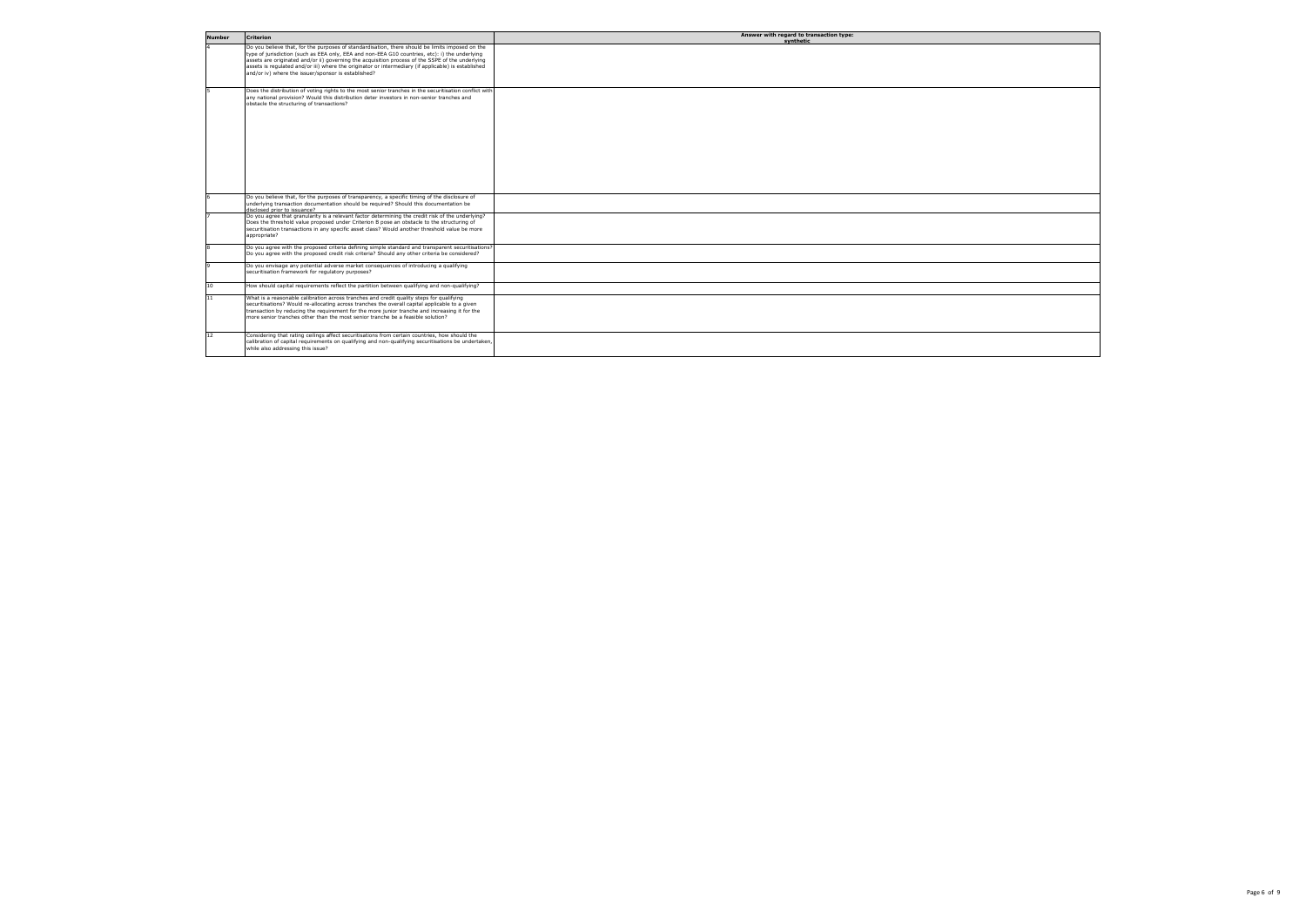| <b>Number</b>   | <b>Criterion</b>                                                                                                                                                                                                                                                                                                                                                                                                                                                    | Answer with regard to transaction type:<br>synthetic |
|-----------------|---------------------------------------------------------------------------------------------------------------------------------------------------------------------------------------------------------------------------------------------------------------------------------------------------------------------------------------------------------------------------------------------------------------------------------------------------------------------|------------------------------------------------------|
|                 | Do you believe that, for the purposes of standardisation, there should be limits imposed on the<br>type of jurisdiction (such as EEA only, EEA and non-EEA G10 countries, etc): i) the underlying<br>assets are originated and/or ii) governing the acquisition process of the SSPE of the underlying<br>assets is regulated and/or iii) where the originator or intermediary (if applicable) is established<br>and/or iv) where the issuer/sponsor is established? |                                                      |
|                 | Does the distribution of voting rights to the most senior tranches in the securitisation conflict with<br>any national provision? Would this distribution deter investors in non-senior tranches and<br>obstacle the structuring of transactions?                                                                                                                                                                                                                   |                                                      |
|                 | Do you believe that, for the purposes of transparency, a specific timing of the disclosure of<br>underlying transaction documentation should be required? Should this documentation be                                                                                                                                                                                                                                                                              |                                                      |
|                 | Seansuzzi ot anian hezolozih<br>Do you agree that granularity is a relevant factor determining the credit risk of the underlying?<br>Does the threshold value proposed under Criterion B pose an obstacle to the structuring of<br>securitisation transactions in any specific asset class? Would another threshold value be more<br>appropriate?                                                                                                                   |                                                      |
|                 | Do you agree with the proposed criteria defining simple standard and transparent securitisations?<br>Do you agree with the proposed credit risk criteria? Should any other criteria be considered?                                                                                                                                                                                                                                                                  |                                                      |
|                 | Do you envisage any potential adverse market consequences of introducing a qualifying<br>securitisation framework for regulatory purposes?                                                                                                                                                                                                                                                                                                                          |                                                      |
| 10 <sup>1</sup> | How should capital requirements reflect the partition between qualifying and non-qualifying?                                                                                                                                                                                                                                                                                                                                                                        |                                                      |
| 11              | What is a reasonable calibration across tranches and credit quality steps for qualifying<br>securitisations? Would re-allocating across tranches the overall capital applicable to a given<br>transaction by reducing the requirement for the more junior tranche and increasing it for the<br>more senior tranches other than the most senior tranche be a feasible solution?                                                                                      |                                                      |
| 12              | Considering that rating ceilings affect securitisations from certain countries, how should the<br>calibration of capital requirements on qualifying and non-qualifying securitisations be undertaken,<br>while also addressing this issue?                                                                                                                                                                                                                          |                                                      |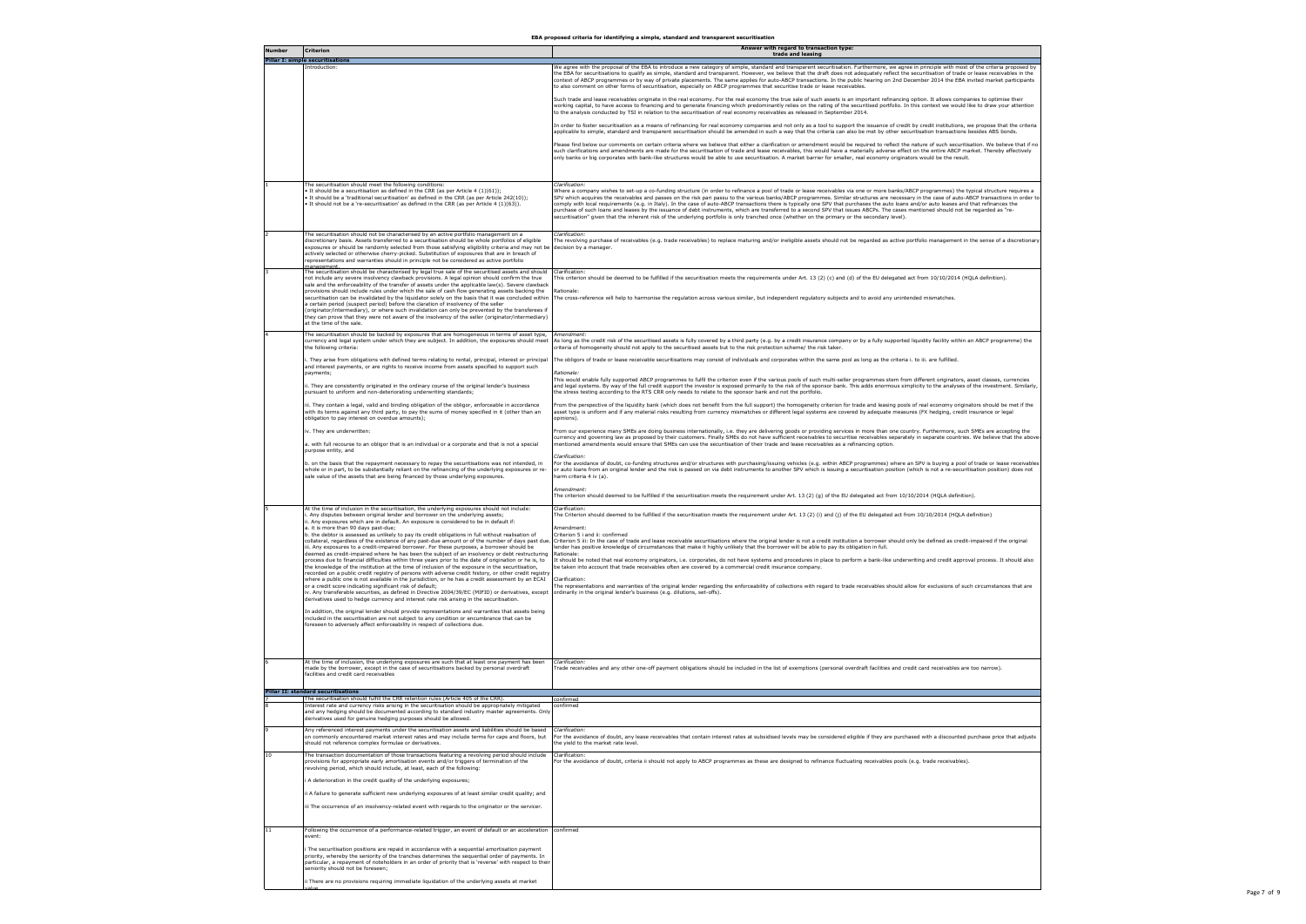| <b>Number</b> | <b>Criterion</b>                                                                                                                                                                                                                                                                                                                                                                                                                                                                                                                                                                                                                                                                                                                                                                                                                                                                                                                                                                                                                                                                                                                                                                                                                                                                                                                                                                                                                                                                                                                                                                              | Answer with regard to transaction type:<br>trade and leasing                                                                                                                                                                                                                                                                                                                                                                                                                                                                                                                                                                                                                                                                                                                                                                                                                                                                                                                                                                                                                                                                                                                                                                                                    |
|---------------|-----------------------------------------------------------------------------------------------------------------------------------------------------------------------------------------------------------------------------------------------------------------------------------------------------------------------------------------------------------------------------------------------------------------------------------------------------------------------------------------------------------------------------------------------------------------------------------------------------------------------------------------------------------------------------------------------------------------------------------------------------------------------------------------------------------------------------------------------------------------------------------------------------------------------------------------------------------------------------------------------------------------------------------------------------------------------------------------------------------------------------------------------------------------------------------------------------------------------------------------------------------------------------------------------------------------------------------------------------------------------------------------------------------------------------------------------------------------------------------------------------------------------------------------------------------------------------------------------|-----------------------------------------------------------------------------------------------------------------------------------------------------------------------------------------------------------------------------------------------------------------------------------------------------------------------------------------------------------------------------------------------------------------------------------------------------------------------------------------------------------------------------------------------------------------------------------------------------------------------------------------------------------------------------------------------------------------------------------------------------------------------------------------------------------------------------------------------------------------------------------------------------------------------------------------------------------------------------------------------------------------------------------------------------------------------------------------------------------------------------------------------------------------------------------------------------------------------------------------------------------------|
|               | <b>Pillar I: simple securitisations</b>                                                                                                                                                                                                                                                                                                                                                                                                                                                                                                                                                                                                                                                                                                                                                                                                                                                                                                                                                                                                                                                                                                                                                                                                                                                                                                                                                                                                                                                                                                                                                       |                                                                                                                                                                                                                                                                                                                                                                                                                                                                                                                                                                                                                                                                                                                                                                                                                                                                                                                                                                                                                                                                                                                                                                                                                                                                 |
|               | introduction:                                                                                                                                                                                                                                                                                                                                                                                                                                                                                                                                                                                                                                                                                                                                                                                                                                                                                                                                                                                                                                                                                                                                                                                                                                                                                                                                                                                                                                                                                                                                                                                 | We agree with the proposal of the EBA to introduce a new category of simple, standard and transparent securitisation. Furthermore, we agree in principle with most of the criteria proposed by<br>the EBA for securitisations to qualify as simple, standard and transparent. However, we believe that the draft does not adequately reflect the securitisation of trade or lease receivables in the<br>context of ABCP programmes or by way of private placements. The same applies for auto-ABCP transactions. In the public hearing on 2nd December 2014 the EBA invited market participants<br>to also comment on other forms of securitisation, especially on ABCP programmes that securitise trade or lease receivables.                                                                                                                                                                                                                                                                                                                                                                                                                                                                                                                                  |
|               |                                                                                                                                                                                                                                                                                                                                                                                                                                                                                                                                                                                                                                                                                                                                                                                                                                                                                                                                                                                                                                                                                                                                                                                                                                                                                                                                                                                                                                                                                                                                                                                               | Such trade and lease receivables originate in the real economy. For the real economy the true sale of such assets is an important refinancing option. It allows companies to optimise their<br>working capital, to have access to financing and to generate financing which predominantly relies on the rating of the securitised portfolio. In this context we would like to draw your attention<br>to the analysis conducted by TSI in relation to the securitisation of real economy receivables as released in September 2014.                                                                                                                                                                                                                                                                                                                                                                                                                                                                                                                                                                                                                                                                                                                              |
|               |                                                                                                                                                                                                                                                                                                                                                                                                                                                                                                                                                                                                                                                                                                                                                                                                                                                                                                                                                                                                                                                                                                                                                                                                                                                                                                                                                                                                                                                                                                                                                                                               | In order to foster securitisation as a means of refinancing for real economy companies and not only as a tool to support the issuance of credit by credit institutions, we propose that the criteria<br>applicable to simple, standard and transparent securitisation should be amended in such a way that the criteria can also be met by other securitisation transactions besides ABS bonds.                                                                                                                                                                                                                                                                                                                                                                                                                                                                                                                                                                                                                                                                                                                                                                                                                                                                 |
|               |                                                                                                                                                                                                                                                                                                                                                                                                                                                                                                                                                                                                                                                                                                                                                                                                                                                                                                                                                                                                                                                                                                                                                                                                                                                                                                                                                                                                                                                                                                                                                                                               | Please find below our comments on certain criteria where we believe that either a clarification or amendment would be required to reflect the nature of such securitisation. We believe that if no<br>such clarifications and amendments are made for the securitisation of trade and lease receivables, this would have a materially adverse effect on the entire ABCP market. Thereby effectively<br>only banks or big corporates with bank-like structures would be able to use securitisation. A market barrier for smaller, real economy originators would be the result.                                                                                                                                                                                                                                                                                                                                                                                                                                                                                                                                                                                                                                                                                  |
|               | The securitisation should meet the following conditions:<br>It should be a securitisation as defined in the CRR (as per Article 4 (1)(61));<br>It should be a 'traditional securitisation' as defined in the CRR (as per Article 242(10));<br>It should not be a 're-securitisation' as defined in the CRR (as per Article 4 (1)(63)).                                                                                                                                                                                                                                                                                                                                                                                                                                                                                                                                                                                                                                                                                                                                                                                                                                                                                                                                                                                                                                                                                                                                                                                                                                                        | Clarification:<br>Where a company wishes to set-up a co-funding structure (in order to refinance a pool of trade or lease receivables via one or more banks/ABCP programmes) the typical structure requires a<br>SPV which acquires the receivables and passes on the risk pari passu to the various banks/ABCP programmes. Similar structures are necessary in the case of auto-ABCP transactions in order to<br>comply with local requirements (e.g. in Italy). In the case of auto-ABCP transactions there is typically one SPV that purchases the auto loans and/or auto leases and that refinances the<br>purchase of such loans and leases by the issuance of debt instruments, which are transferred to a second SPV that issues ABCPs. The cases mentioned should not be regarded as "re-<br>securitisation" given that the inherent risk of the underlying portfolio is only tranched once (whether on the primary or the secondary level).                                                                                                                                                                                                                                                                                                            |
|               | The securitisation should not be characterised by an active portfolio management on a<br>discretionary basis. Assets transferred to a securitisation should be whole portfolios of eligible<br>exposures or should be randomly selected from those satisfying eligibility criteria and may not be decision by a manager.<br>actively selected or otherwise cherry-picked. Substitution of exposures that are in breach of<br>representations and warranties should in principle not be considered as active portfolio<br>nanagement                                                                                                                                                                                                                                                                                                                                                                                                                                                                                                                                                                                                                                                                                                                                                                                                                                                                                                                                                                                                                                                           | Clarification:<br>The revolving purchase of receivables (e.g. trade receivables) to replace maturing and/or ineligible assets should not be regarded as active portfolio management in the sense of a discretionary                                                                                                                                                                                                                                                                                                                                                                                                                                                                                                                                                                                                                                                                                                                                                                                                                                                                                                                                                                                                                                             |
|               | The securitisation should be characterised by legal true sale of the securitised assets and should<br>not include any severe insolvency clawback provisions. A legal opinion should confirm the true<br>sale and the enforceability of the transfer of assets under the applicable law(s). Severe clawback                                                                                                                                                                                                                                                                                                                                                                                                                                                                                                                                                                                                                                                                                                                                                                                                                                                                                                                                                                                                                                                                                                                                                                                                                                                                                    | Clarification:<br>This criterion should be deemed to be fulfilled if the securitisation meets the requirements under Art. 13 (2) (c) and (d) of the EU delegated act from 10/10/2014 (HQLA definition).                                                                                                                                                                                                                                                                                                                                                                                                                                                                                                                                                                                                                                                                                                                                                                                                                                                                                                                                                                                                                                                         |
|               | provisions should include rules under which the sale of cash flow generating assets backing the<br>securitisation can be invalidated by the liquidator solely on the basis that it was concluded within<br>a certain period (suspect period) before the claration of insolvency of the seller<br>originator/intermediary), or where such invalidation can only be prevented by the transferees if<br>they can prove that they were not aware of the insolvency of the seller (originator/intermediary)<br>at the time of the sale.                                                                                                                                                                                                                                                                                                                                                                                                                                                                                                                                                                                                                                                                                                                                                                                                                                                                                                                                                                                                                                                            | Rationale:<br>The cross-reference will help to harmonise the regulation across various similar, but independent regulatory subjects and to avoid any unintended mismatches.                                                                                                                                                                                                                                                                                                                                                                                                                                                                                                                                                                                                                                                                                                                                                                                                                                                                                                                                                                                                                                                                                     |
|               | The securitisation should be backed by exposures that are homogeneous in terms of asset type,<br>currency and legal system under which they are subject. In addition, the exposures should meet<br>the following criteria:                                                                                                                                                                                                                                                                                                                                                                                                                                                                                                                                                                                                                                                                                                                                                                                                                                                                                                                                                                                                                                                                                                                                                                                                                                                                                                                                                                    | Amendment:<br>As long as the credit risk of the securitised assets is fully covered by a third party (e.g. by a credit insurance company or by a fully supported liquidity facility within an ABCP programme) the<br>criteria of homogeneity should not apply to the securitised assets but to the risk protection scheme/ the risk taker.                                                                                                                                                                                                                                                                                                                                                                                                                                                                                                                                                                                                                                                                                                                                                                                                                                                                                                                      |
|               | . They arise from obligations with defined terms relating to rental, principal, interest or principal<br>and interest payments, or are rights to receive income from assets specified to support such<br>payments;                                                                                                                                                                                                                                                                                                                                                                                                                                                                                                                                                                                                                                                                                                                                                                                                                                                                                                                                                                                                                                                                                                                                                                                                                                                                                                                                                                            | The obligors of trade or lease receivable securitisations may consist of individuals and corporates within the same pool as long as the criteria i. to iii. are fulfilled.<br>Rationale:                                                                                                                                                                                                                                                                                                                                                                                                                                                                                                                                                                                                                                                                                                                                                                                                                                                                                                                                                                                                                                                                        |
|               | i. They are consistently originated in the ordinary course of the original lender's business<br>pursuant to uniform and non-deteriorating underwriting standards;                                                                                                                                                                                                                                                                                                                                                                                                                                                                                                                                                                                                                                                                                                                                                                                                                                                                                                                                                                                                                                                                                                                                                                                                                                                                                                                                                                                                                             | This would enable fully supported ABCP programmes to fulfil the criterion even if the various pools of such multi-seller programmes stem from different originators, asset classes, currencies<br>and legal systems. By way of the full credit support the investor is exposed primarily to the risk of the sponsor bank. This adds enormous simplicity to the analyses of the investment. Similarly,<br>the stress testing according to the RTS CRR only needs to relate to the sponsor bank and not the portfolio.                                                                                                                                                                                                                                                                                                                                                                                                                                                                                                                                                                                                                                                                                                                                            |
|               | iii. They contain a legal, valid and binding obligation of the obligor, enforceable in accordance<br>with its terms against any third party, to pay the sums of money specified in it (other than an<br>obligation to pay interest on overdue amounts);                                                                                                                                                                                                                                                                                                                                                                                                                                                                                                                                                                                                                                                                                                                                                                                                                                                                                                                                                                                                                                                                                                                                                                                                                                                                                                                                       | From the perspective of the liquidity bank (which does not benefit from the full support) the homogeneity criterion for trade and leasing pools of real economy originators should be met if the<br>asset type is uniform and if any material risks resulting from currency mismatches or different legal systems are covered by adequate measures (FX hedging, credit insurance or legal<br>opinions).                                                                                                                                                                                                                                                                                                                                                                                                                                                                                                                                                                                                                                                                                                                                                                                                                                                         |
|               | iv. They are underwritten:<br>a. with full recourse to an obligor that is an individual or a corporate and that is not a special                                                                                                                                                                                                                                                                                                                                                                                                                                                                                                                                                                                                                                                                                                                                                                                                                                                                                                                                                                                                                                                                                                                                                                                                                                                                                                                                                                                                                                                              | From our experience many SMEs are doing business internationally, i.e. they are delivering goods or providing services in more than one country. Furthermore, such SMEs are accepting the<br>currency and governing law as proposed by their customers. Finally SMEs do not have sufficient receivables to securitise receivables separately in separate countries. We believe that the above-<br>mentioned amendments would ensure that SMEs can use the securitisation of their trade and lease receivables as a refinancing option.                                                                                                                                                                                                                                                                                                                                                                                                                                                                                                                                                                                                                                                                                                                          |
|               | purpose entity, and<br>b. on the basis that the repayment necessary to repay the securitisations was not intended, in<br>whole or in part, to be substantially reliant on the refinancing of the underlying exposures or re-                                                                                                                                                                                                                                                                                                                                                                                                                                                                                                                                                                                                                                                                                                                                                                                                                                                                                                                                                                                                                                                                                                                                                                                                                                                                                                                                                                  | Clarification:<br>For the avoidance of doubt, co-funding structures and/or structures with purchasing/issuing vehicles (e.g. within ABCP programmes) where an SPV is buying a pool of trade or lease receivables<br>or auto loans from an original lender and the risk is passed on via debt instruments to another SPV which is issuing a securitisation position (which is not a re-securitisation position) does not                                                                                                                                                                                                                                                                                                                                                                                                                                                                                                                                                                                                                                                                                                                                                                                                                                         |
|               | sale value of the assets that are being financed by those underlying exposures.                                                                                                                                                                                                                                                                                                                                                                                                                                                                                                                                                                                                                                                                                                                                                                                                                                                                                                                                                                                                                                                                                                                                                                                                                                                                                                                                                                                                                                                                                                               | harm criteria 4 iv (a).<br>Amendment:<br>The criterion should deemed to be fulfilled if the securitisation meets the requirement under Art. 13 (2) (g) of the EU delegated act from 10/10/2014 (HQLA definition).                                                                                                                                                                                                                                                                                                                                                                                                                                                                                                                                                                                                                                                                                                                                                                                                                                                                                                                                                                                                                                               |
|               |                                                                                                                                                                                                                                                                                                                                                                                                                                                                                                                                                                                                                                                                                                                                                                                                                                                                                                                                                                                                                                                                                                                                                                                                                                                                                                                                                                                                                                                                                                                                                                                               |                                                                                                                                                                                                                                                                                                                                                                                                                                                                                                                                                                                                                                                                                                                                                                                                                                                                                                                                                                                                                                                                                                                                                                                                                                                                 |
|               | At the time of inclusion in the securitisation, the underlying exposures should not include:<br>Any disputes between original lender and borrower on the underlying assets;<br>i. Any exposures which are in default. An exposure is considered to be in default if:<br>a. it is more than 90 days past-due:<br>b. the debtor is assessed as unlikely to pay its credit obligations in full without realisation of<br>iii. Any exposures to a credit-impaired borrower. For these purposes, a borrower should be<br>deemed as credit-impaired where he has been the subject of an insolvency or debt restructuring<br>process due to financial difficulties within three years prior to the date of origination or he is, to<br>the knowledge of the institution at the time of inclusion of the exposure in the securitisation,<br>recorded on a public credit registry of persons with adverse credit history, or other credit registry<br>where a public one is not available in the jurisdiction, or he has a credit assessment by an ECAI<br>or a credit score indicating significant risk of default;<br>iv. Any transferable securities, as defined in Directive 2004/39/EC (MIFID) or derivatives, except<br>derivatives used to hedge currency and interest rate risk arising in the securitisation.<br>in addition, the original lender should provide representations and warranties that assets being<br>included in the securitisation are not subject to any condition or encumbrance that can be<br>foreseen to adversely affect enforceability in respect of collections due. | Clarification<br>The Criterion should deemed to be fulfilled if the securitisation meets the requirement under Art. 13 (2) (i) and (j) of the EU delegated act from 10/10/2014 (HQLA definition)<br>Amendment:<br>Criterion 5 i and ii: confirmed<br>collateral, regardless of the existence of any past-due amount or of the number of days past due. Criterion 5 iii: In the case of trade and lease receivable securitisations where the original lender is not a credit institu<br>lender has positive knowledge of circumstances that make it highly unlikely that the borrower will be able to pay its obligation in full.<br>Rationale:<br>It should be noted that real economy originators, i.e. corporates, do not have systems and procedures in place to perform a bank-like underwriting and credit approval process. It should also<br>be taken into account that trade receivables often are covered by a commercial credit insurance company.<br>Clarification:<br>The representations and warranties of the original lender regarding the enforceability of collections with regard to trade receivables should allow for exclusions of such circumstances that are<br>ordinarily in the original lender's business (e.g. dilutions, set-offs). |
|               | At the time of inclusion, the underlying exposures are such that at least one payment has been<br>made by the borrower, except in the case of securitisations backed by personal overdraft<br>facilities and credit card receivables                                                                                                                                                                                                                                                                                                                                                                                                                                                                                                                                                                                                                                                                                                                                                                                                                                                                                                                                                                                                                                                                                                                                                                                                                                                                                                                                                          | Clarification:<br>Trade receivables and any other one-off payment obligations should be included in the list of exemptions (personal overdraft facilities and credit card receivables are too narrow).                                                                                                                                                                                                                                                                                                                                                                                                                                                                                                                                                                                                                                                                                                                                                                                                                                                                                                                                                                                                                                                          |
|               | <b>Pillar II: standard securitisations</b>                                                                                                                                                                                                                                                                                                                                                                                                                                                                                                                                                                                                                                                                                                                                                                                                                                                                                                                                                                                                                                                                                                                                                                                                                                                                                                                                                                                                                                                                                                                                                    |                                                                                                                                                                                                                                                                                                                                                                                                                                                                                                                                                                                                                                                                                                                                                                                                                                                                                                                                                                                                                                                                                                                                                                                                                                                                 |
|               | The securitisation should fulfill the CRR retention rules (Article 405 of the CRR).<br>interest rate and currency risks arising in the securitisation should be appropriately mitigated<br>and any hedging should be documented according to standard industry master agreements. Only<br>derivatives used for genuine hedging purposes should be allowed.                                                                                                                                                                                                                                                                                                                                                                                                                                                                                                                                                                                                                                                                                                                                                                                                                                                                                                                                                                                                                                                                                                                                                                                                                                    | confirmed<br>confirmed                                                                                                                                                                                                                                                                                                                                                                                                                                                                                                                                                                                                                                                                                                                                                                                                                                                                                                                                                                                                                                                                                                                                                                                                                                          |
|               | Any referenced interest payments under the securitisation assets and liabilities should be based<br>on commonly encountered market interest rates and may include terms for caps and floors, but<br>should not reference complex formulae or derivatives.                                                                                                                                                                                                                                                                                                                                                                                                                                                                                                                                                                                                                                                                                                                                                                                                                                                                                                                                                                                                                                                                                                                                                                                                                                                                                                                                     | Clarification:<br>For the avoidance of doubt, any lease receivables that contain interest rates at subsidised levels may be considered eligible if they are purchased with a discounted purchase price that adjusts<br>he yield to the market rate level.                                                                                                                                                                                                                                                                                                                                                                                                                                                                                                                                                                                                                                                                                                                                                                                                                                                                                                                                                                                                       |
| 10            | The transaction documentation of those transactions featuring a revolving period should include<br>provisions for appropriate early amortisation events and/or triggers of termination of the<br>revolving period, which should include, at least, each of the following:                                                                                                                                                                                                                                                                                                                                                                                                                                                                                                                                                                                                                                                                                                                                                                                                                                                                                                                                                                                                                                                                                                                                                                                                                                                                                                                     | Clarification:<br>For the avoidance of doubt, criteria ii should not apply to ABCP programmes as these are designed to refinance fluctuating receivables pools (e.g. trade receivables).                                                                                                                                                                                                                                                                                                                                                                                                                                                                                                                                                                                                                                                                                                                                                                                                                                                                                                                                                                                                                                                                        |
|               | A deterioration in the credit quality of the underlying exposures;                                                                                                                                                                                                                                                                                                                                                                                                                                                                                                                                                                                                                                                                                                                                                                                                                                                                                                                                                                                                                                                                                                                                                                                                                                                                                                                                                                                                                                                                                                                            |                                                                                                                                                                                                                                                                                                                                                                                                                                                                                                                                                                                                                                                                                                                                                                                                                                                                                                                                                                                                                                                                                                                                                                                                                                                                 |
|               | ii A failure to generate sufficient new underlying exposures of at least similar credit quality; and<br>iii The occurrence of an insolvency-related event with regards to the originator or the servicer.                                                                                                                                                                                                                                                                                                                                                                                                                                                                                                                                                                                                                                                                                                                                                                                                                                                                                                                                                                                                                                                                                                                                                                                                                                                                                                                                                                                     |                                                                                                                                                                                                                                                                                                                                                                                                                                                                                                                                                                                                                                                                                                                                                                                                                                                                                                                                                                                                                                                                                                                                                                                                                                                                 |
| 11            | Following the occurrence of a performance-related trigger, an event of default or an acceleration                                                                                                                                                                                                                                                                                                                                                                                                                                                                                                                                                                                                                                                                                                                                                                                                                                                                                                                                                                                                                                                                                                                                                                                                                                                                                                                                                                                                                                                                                             | confirmed                                                                                                                                                                                                                                                                                                                                                                                                                                                                                                                                                                                                                                                                                                                                                                                                                                                                                                                                                                                                                                                                                                                                                                                                                                                       |
|               | event:<br>The securitisation positions are repaid in accordance with a sequential amortisation payment<br>priority, whereby the seniority of the tranches determines the sequential order of payments. In<br>particular, a repayment of noteholders in an order of priority that is 'reverse' with respect to their<br>seniority should not be foreseen;                                                                                                                                                                                                                                                                                                                                                                                                                                                                                                                                                                                                                                                                                                                                                                                                                                                                                                                                                                                                                                                                                                                                                                                                                                      |                                                                                                                                                                                                                                                                                                                                                                                                                                                                                                                                                                                                                                                                                                                                                                                                                                                                                                                                                                                                                                                                                                                                                                                                                                                                 |
|               | ii There are no provisions requiring immediate liquidation of the underlying assets at market                                                                                                                                                                                                                                                                                                                                                                                                                                                                                                                                                                                                                                                                                                                                                                                                                                                                                                                                                                                                                                                                                                                                                                                                                                                                                                                                                                                                                                                                                                 |                                                                                                                                                                                                                                                                                                                                                                                                                                                                                                                                                                                                                                                                                                                                                                                                                                                                                                                                                                                                                                                                                                                                                                                                                                                                 |



**EBA proposed criteria for identifying a simple, standard and transparent securitisation**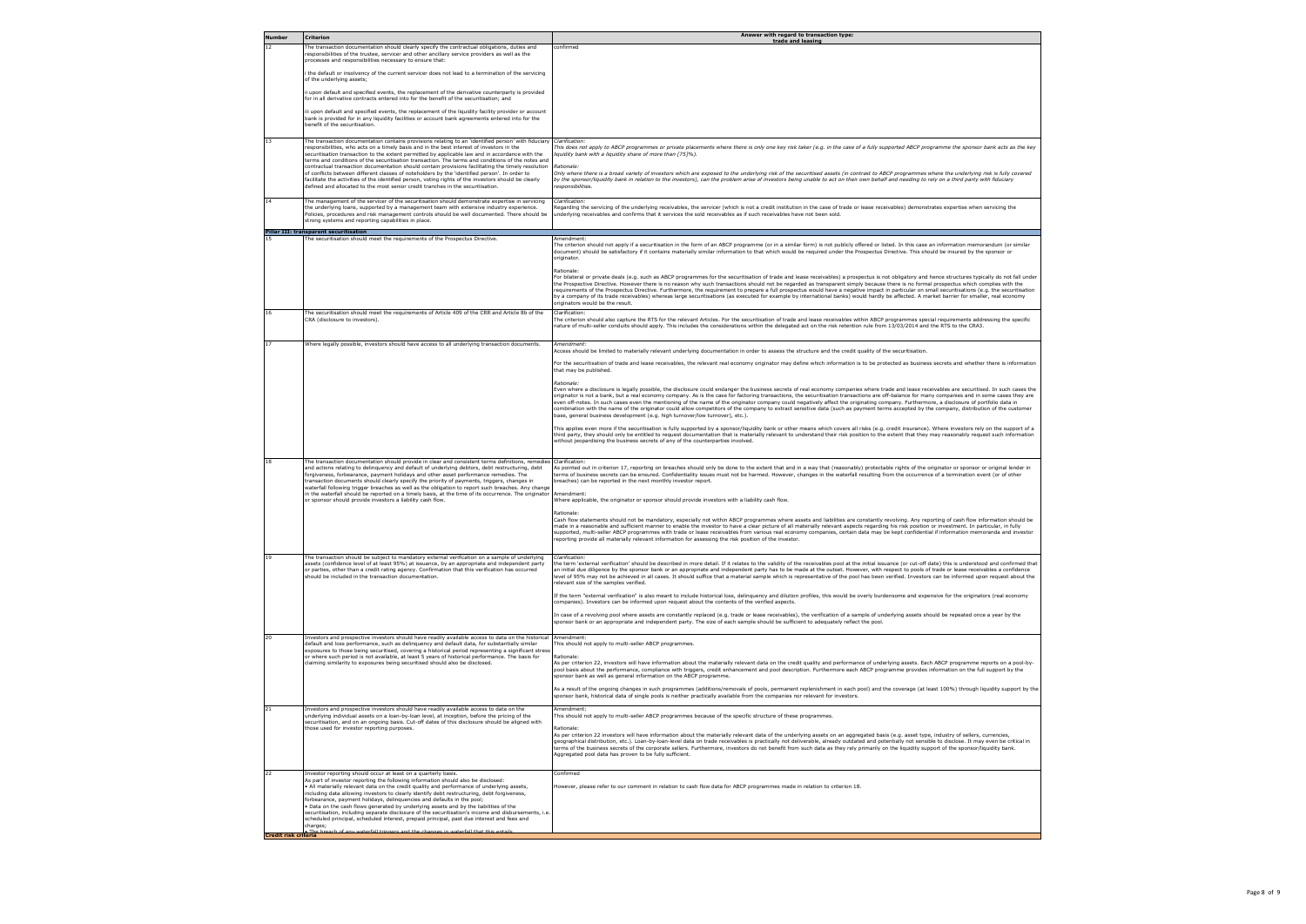

| <b>Number</b>        | <b>Criterion</b>                                                                                                                                                                                                                                                                                                                                                                                                                                                                                                                                                                                                                                                                                                          | Answer with regard to transaction type:<br>trade and leasing                                                                                                                                                                                                                                                                                                                                                                                                                                                                                                                                                                                                                                                                                                                                                                                                                           |
|----------------------|---------------------------------------------------------------------------------------------------------------------------------------------------------------------------------------------------------------------------------------------------------------------------------------------------------------------------------------------------------------------------------------------------------------------------------------------------------------------------------------------------------------------------------------------------------------------------------------------------------------------------------------------------------------------------------------------------------------------------|----------------------------------------------------------------------------------------------------------------------------------------------------------------------------------------------------------------------------------------------------------------------------------------------------------------------------------------------------------------------------------------------------------------------------------------------------------------------------------------------------------------------------------------------------------------------------------------------------------------------------------------------------------------------------------------------------------------------------------------------------------------------------------------------------------------------------------------------------------------------------------------|
| 12                   | The transaction documentation should clearly specify the contractual obligations, duties and<br>responsibilities of the trustee, servicer and other ancillary service providers as well as the<br>processes and responsibilities necessary to ensure that:                                                                                                                                                                                                                                                                                                                                                                                                                                                                | confirmed                                                                                                                                                                                                                                                                                                                                                                                                                                                                                                                                                                                                                                                                                                                                                                                                                                                                              |
|                      | the default or insolvency of the current servicer does not lead to a termination of the servicing<br>of the underlying assets;                                                                                                                                                                                                                                                                                                                                                                                                                                                                                                                                                                                            |                                                                                                                                                                                                                                                                                                                                                                                                                                                                                                                                                                                                                                                                                                                                                                                                                                                                                        |
|                      | ii upon default and specified events, the replacement of the derivative counterparty is provided<br>for in all derivative contracts entered into for the benefit of the securitisation; and                                                                                                                                                                                                                                                                                                                                                                                                                                                                                                                               |                                                                                                                                                                                                                                                                                                                                                                                                                                                                                                                                                                                                                                                                                                                                                                                                                                                                                        |
|                      | iii upon default and specified events, the replacement of the liquidity facility provider or account<br>bank is provided for in any liquidity facilities or account bank agreements entered into for the<br>benefit of the securitisation.                                                                                                                                                                                                                                                                                                                                                                                                                                                                                |                                                                                                                                                                                                                                                                                                                                                                                                                                                                                                                                                                                                                                                                                                                                                                                                                                                                                        |
| 13                   | The transaction documentation contains provisions relating to an 'identified person' with fiducian<br>responsibilities, who acts on a timely basis and in the best interest of investors in the<br>securitisation transaction to the extent permitted by applicable law and in accordance with the                                                                                                                                                                                                                                                                                                                                                                                                                        | Clarification:<br>This does not apply to ABCP programmes or private placements where there is only one key risk taker (e.g. in the case of a fully supported ABCP programme the sponsor bank acts as the key<br>liquidity bank with a liquidity share of more than [75]%).                                                                                                                                                                                                                                                                                                                                                                                                                                                                                                                                                                                                             |
|                      | terms and conditions of the securitisation transaction. The terms and conditions of the notes and<br>contractual transaction documentation should contain provisions facilitating the timely resolution<br>of conflicts between different classes of noteholders by the 'identified person'. In order to<br>facilitate the activities of the identified person, voting rights of the investors should be clearly<br>defined and allocated to the most senior credit tranches in the securitisation.                                                                                                                                                                                                                       | Rationale:<br>Only where there is a broad variety of investors which are exposed to the underlying risk of the securitised assets (in contrast to ABCP programmes where the underlying risk is fully covered<br>by the sponsor/liquidity bank in relation to the investors), can the problem arise of investors being unable to act on their own behalf and needing to rely on a third party with fiduciary<br>responsibilities.                                                                                                                                                                                                                                                                                                                                                                                                                                                       |
| 14                   | The management of the servicer of the securitisation should demonstrate expertise in servicing<br>the underlying loans, supported by a management team with extensive industry experience.<br>Policies, procedures and risk management controls should be well documented. There should be<br>strong systems and reporting capabilities in place.                                                                                                                                                                                                                                                                                                                                                                         | Clarification:<br>Regarding the servicing of the underlying receivables, the servicer (which is not a credit institution in the case of trade or lease receivables) demonstrates expertise when servicing the<br>underlying receivables and confirms that it services the sold receivables as if such receivables have not been sold.                                                                                                                                                                                                                                                                                                                                                                                                                                                                                                                                                  |
|                      | Pillar III: transparent securitisation<br>The securitisation should meet the requirements of the Prospectus Directive.                                                                                                                                                                                                                                                                                                                                                                                                                                                                                                                                                                                                    | Amendment:<br>The criterion should not apply if a securitisation in the form of an ABCP programme (or in a similar form) is not publicly offered or listed. In this case an information memorandum (or similar                                                                                                                                                                                                                                                                                                                                                                                                                                                                                                                                                                                                                                                                         |
|                      |                                                                                                                                                                                                                                                                                                                                                                                                                                                                                                                                                                                                                                                                                                                           | document) should be satisfactory if it contains materially similar information to that which would be required under the Prospectus Directive. This should be insured by the sponsor or<br>originator.                                                                                                                                                                                                                                                                                                                                                                                                                                                                                                                                                                                                                                                                                 |
|                      |                                                                                                                                                                                                                                                                                                                                                                                                                                                                                                                                                                                                                                                                                                                           | Rationale:<br>For bilateral or private deals (e.g. such as ABCP programmes for the securitisation of trade and lease receivables) a prospectus is not obligatory and hence structures typically do not fall under<br>the Prospective Directive. However there is no reason why such transactions should not be regarded as transparent simply because there is no formal prospectus which complies with the<br>requirements of the Prospectus Directive. Furthermore, the requirement to prepare a full prospectus would have a negative impact in particular on small securitisations (e.g. the securitisation<br>by a company of its trade receivables) whereas large securitisations (as executed for example by international banks) would hardly be affected. A market barrier for smaller, real economy<br>originators would be the result.                                      |
| 16                   | The securitisation should meet the requirements of Article 409 of the CRR and Article 8b of the<br>CRA (disclosure to investors).                                                                                                                                                                                                                                                                                                                                                                                                                                                                                                                                                                                         | Clarification:<br>The criterion should also capture the RTS for the relevant Articles. For the securitisation of trade and lease receivables within ABCP programmes special requirements addressing the specific<br>nature of multi-seller conduits should apply. This includes the considerations within the delegated act on the risk retention rule from 13/03/2014 and the RTS to the CRA3.                                                                                                                                                                                                                                                                                                                                                                                                                                                                                        |
| 17                   | Where legally possible, investors should have access to all underlying transaction documents.                                                                                                                                                                                                                                                                                                                                                                                                                                                                                                                                                                                                                             | Amendment:<br>Access should be limited to materially relevant underlying documentation in order to assess the structure and the credit quality of the securitisation.                                                                                                                                                                                                                                                                                                                                                                                                                                                                                                                                                                                                                                                                                                                  |
|                      |                                                                                                                                                                                                                                                                                                                                                                                                                                                                                                                                                                                                                                                                                                                           | For the securitisation of trade and lease receivables, the relevant real economy originator may define which information is to be protected as business secrets and whether there is information<br>that may be published.                                                                                                                                                                                                                                                                                                                                                                                                                                                                                                                                                                                                                                                             |
|                      |                                                                                                                                                                                                                                                                                                                                                                                                                                                                                                                                                                                                                                                                                                                           | Rationale:<br>Even where a disclosure is legally possible, the disclosure could endanger the business secrets of real economy companies where trade and lease receivables are securitised. In such cases the<br>originator is not a bank, but a real economy company. As is the case for factoring transactions, the securitisation transactions are off-balance for many companies and in some cases they are<br>even off-notes. In such cases even the mentioning of the name of the originator company could negatively affect the originating company. Furthermore, a disclosure of portfolio data in<br>combination with the name of the originator could allow competitors of the company to extract sensitive data (such as payment terms accepted by the company, distribution of the customer<br>base, general business development (e.g. high turnover/low turnover), etc.). |
|                      |                                                                                                                                                                                                                                                                                                                                                                                                                                                                                                                                                                                                                                                                                                                           | This applies even more if the securitisation is fully supported by a sponsor/liquidity bank or other means which covers all risks (e.q. credit insurance). Where investors rely on the support of a<br>third party, they should only be entitled to request documentation that is materially relevant to understand their risk position to the extent that they may reasonably request such information<br>without jeopardising the business secrets of any of the counterparties involved.                                                                                                                                                                                                                                                                                                                                                                                            |
| 18                   | The transaction documentation should provide in clear and consistent terms definitions, remedies<br>and actions relating to delinquency and default of underlying debtors, debt restructuring, debt<br>forgiveness, forbearance, payment holidays and other asset performance remedies. The<br>transaction documents should clearly specify the priority of payments, triggers, changes in<br>waterfall following trigger breaches as well as the obligation to report such breaches. Any change                                                                                                                                                                                                                          | Clarification:<br>As pointed out in criterion 17, reporting on breaches should only be done to the extent that and in a way that (reasonably) protectable rights of the originator or sponsor or original lender in<br>terms of business secrets can be ensured. Confidentiality issues must not be harmed. However, changes in the waterfall resulting from the occurrence of a termination event (or of other<br>breaches) can be reported in the next monthly investor report.<br>Amendment:                                                                                                                                                                                                                                                                                                                                                                                        |
|                      | in the waterfall should be reported on a timely basis, at the time of its occurrence. The originator<br>or sponsor should provide investors a liability cash flow.                                                                                                                                                                                                                                                                                                                                                                                                                                                                                                                                                        | Where applicable, the originator or sponsor should provide investors with a liability cash flow.                                                                                                                                                                                                                                                                                                                                                                                                                                                                                                                                                                                                                                                                                                                                                                                       |
|                      |                                                                                                                                                                                                                                                                                                                                                                                                                                                                                                                                                                                                                                                                                                                           | Rationale:<br>Cash flow statements should not be mandatory, especially not within ABCP programmes where assets and liabilities are constantly revolving. Any reporting of cash flow information should be<br>nade in a reasonable and sufficient manner to enable the investor to have a clear picture of all materially relevant aspects regarding his risk position or investment. In particular, in fully<br>supported, multi-seller ABCP programmes with trade or lease receivables from various real economy companies, certain data may be kept confidential if information memoranda and investor<br>reporting provide all materially relevant information for assessing the risk position of the investor.                                                                                                                                                                     |
|                      | The transaction should be subject to mandatory external verification on a sample of underlying<br>assets (confidence level of at least 95%) at issuance, by an appropriate and independent party                                                                                                                                                                                                                                                                                                                                                                                                                                                                                                                          | Clarification:<br>the term 'external verification' should be described in more detail. If it relates to the validity of the receivables pool at the initial issuance (or cut-off date) this is understood and confirmed that                                                                                                                                                                                                                                                                                                                                                                                                                                                                                                                                                                                                                                                           |
|                      | or parties, other than a credit rating agency. Confirmation that this verification has occurred<br>should be included in the transaction documentation.                                                                                                                                                                                                                                                                                                                                                                                                                                                                                                                                                                   | an initial due diligence by the sponsor bank or an appropriate and independent party has to be made at the outset. However, with respect to pools of trade or lease receivables a confidence<br>level of 95% may not be achieved in all cases. It should suffice that a material sample which is representative of the pool has been verified. Investors can be informed upon request about the<br>relevant size of the samples verified.                                                                                                                                                                                                                                                                                                                                                                                                                                              |
|                      |                                                                                                                                                                                                                                                                                                                                                                                                                                                                                                                                                                                                                                                                                                                           | If the term "external verification" is also meant to include historical loss, delinquency and dilution profiles, this would be overly burdensome and expensive for the originators (real economy<br>companies). Investors can be informed upon request about the contents of the verified aspects.                                                                                                                                                                                                                                                                                                                                                                                                                                                                                                                                                                                     |
|                      |                                                                                                                                                                                                                                                                                                                                                                                                                                                                                                                                                                                                                                                                                                                           | In case of a revolving pool where assets are constantly replaced (e.g. trade or lease receivables), the verification of a sample of underlying assets should be repeated once a year by the<br>sponsor bank or an appropriate and independent party. The size of each sample should be sufficient to adequately reflect the pool.                                                                                                                                                                                                                                                                                                                                                                                                                                                                                                                                                      |
| 20                   | Investors and prospective investors should have readily available access to data on the historica<br>default and loss performance, such as delinquency and default data, for substantially similar<br>exposures to those being securitised, covering a historical period representing a significant stress                                                                                                                                                                                                                                                                                                                                                                                                                | Amendment:<br>This should not apply to multi-seller ABCP programmes.                                                                                                                                                                                                                                                                                                                                                                                                                                                                                                                                                                                                                                                                                                                                                                                                                   |
|                      | or where such period is not available, at least 5 years of historical performance. The basis for<br>claiming similarity to exposures being securitised should also be disclosed.                                                                                                                                                                                                                                                                                                                                                                                                                                                                                                                                          | Rationale<br>As per criterion 22, investors will have information about the materially relevant data on the credit quality and performance of underlying assets. Each ABCP programme reports on a pool-by-<br>pool basis about the performance, compliance with triggers, credit enhancement and pool description. Furthermore each ABCP programme provides information on the full support by the<br>sponsor bank as well as general information on the ABCP programme.                                                                                                                                                                                                                                                                                                                                                                                                               |
|                      |                                                                                                                                                                                                                                                                                                                                                                                                                                                                                                                                                                                                                                                                                                                           | As a result of the ongoing changes in such programmes (additions/removals of pools, permanent replenishment in each pool) and the coverage (at least 100%) through liquidity support by the<br>sponsor bank, historical data of single pools is neither practically available from the companies nor relevant for investors.                                                                                                                                                                                                                                                                                                                                                                                                                                                                                                                                                           |
| 21                   | Investors and prospective investors should have readily available access to data on the<br>underlying individual assets on a loan-by-loan level, at inception, before the pricing of the<br>securitisation, and on an ongoing basis. Cut-off dates of this disclosure should be aligned with                                                                                                                                                                                                                                                                                                                                                                                                                              | Amendment:<br>This should not apply to multi-seller ABCP programmes because of the specific structure of these programmes.                                                                                                                                                                                                                                                                                                                                                                                                                                                                                                                                                                                                                                                                                                                                                             |
|                      | those used for investor reporting purposes.                                                                                                                                                                                                                                                                                                                                                                                                                                                                                                                                                                                                                                                                               | Rationale:<br>As per criterion 22 investors will have information about the materially relevant data of the underlying assets on an aggregated basis (e.g. asset type, industry of sellers, currencies,<br>geographical distribution, etc.). Loan-by-loan-level data on trade receivables is practically not deliverable, already outdated and potentially not sensible to disclose. It may even be critical in<br>terms of the business secrets of the corporate sellers. Furthermore, investors do not benefit from such data as they rely primarily on the liquidity support of the sponsor/liquidity bank.<br>Aggregated pool data has proven to be fully sufficient.                                                                                                                                                                                                              |
| 22                   | Investor reporting should occur at least on a quarterly basis.<br>As part of investor reporting the following information should also be disclosed:<br>. All materially relevant data on the credit quality and performance of underlying assets,<br>including data allowing investors to clearly identify debt restructuring, debt forgiveness,<br>forbearance, payment holidays, delinquencies and defaults in the pool;<br>. Data on the cash flows generated by underlying assets and by the liabilities of the<br>securitisation, including separate disclosure of the securitisation's income and disbursements, i.e.<br>scheduled principal, scheduled interest, prepaid principal, past due interest and fees and | Confirmed<br>However, please refer to our comment in relation to cash flow data for ABCP programmes made in relation to criterion 18.                                                                                                                                                                                                                                                                                                                                                                                                                                                                                                                                                                                                                                                                                                                                                  |
| Credit risk criteria | charges;                                                                                                                                                                                                                                                                                                                                                                                                                                                                                                                                                                                                                                                                                                                  |                                                                                                                                                                                                                                                                                                                                                                                                                                                                                                                                                                                                                                                                                                                                                                                                                                                                                        |
|                      |                                                                                                                                                                                                                                                                                                                                                                                                                                                                                                                                                                                                                                                                                                                           |                                                                                                                                                                                                                                                                                                                                                                                                                                                                                                                                                                                                                                                                                                                                                                                                                                                                                        |